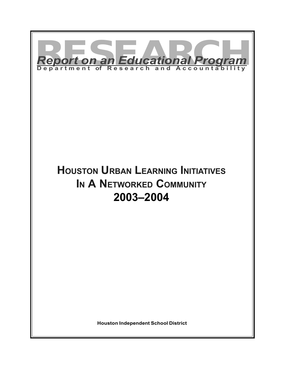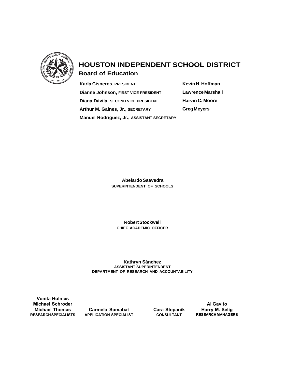

# **HOUSTON INDEPENDENT SCHOOL DISTRICT**

**Board of Education**

| <b>Karla Cisneros, PRESIDENT</b>           |
|--------------------------------------------|
| Dianne Johnson, FIRST VICE PRESIDENT       |
| Diana Dávila, SECOND VICE PRESIDENT        |
| Arthur M. Gaines, Jr., SECRETARY           |
| Manuel Rodríguez, Jr., ASSISTANT SECRETARY |

**Kevin H. Hoffman Lawrence Marshall Harvin C. Moore Greg Meyers**

 **Abelardo Saavedra SUPERINTENDENT OF SCHOOLS**

**Robert Stockwell CHIEF ACADEMIC OFFICER**

**Kathryn Sánchez ASSISTANT SUPERINTENDENT DEPARTMENT OF RESEARCH AND ACCOUNTABILITY**

**Venita Holmes Michael Schroder Michael Thomas RESEARCH SPECIALISTS**

**Carmela Sumabat APPLICATION SPECIALIST** **Cara Stepanik CONSULTANT**

**Al Gavito Harry M. Selig RESEARCH MANAGERS**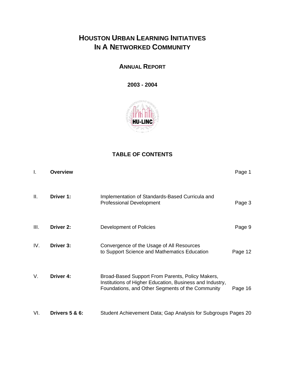# **HOUSTON URBAN LEARNING INITIATIVES IN A NETWORKED COMMUNITY**

**ANNUAL REPORT**

**2003 - 2004**



# **TABLE OF CONTENTS**

| $\mathsf{L}$ | <b>Overview</b> |                                                                                                                                                                  | Page 1  |
|--------------|-----------------|------------------------------------------------------------------------------------------------------------------------------------------------------------------|---------|
| Ш.           | Driver 1:       | Implementation of Standards-Based Curricula and<br><b>Professional Development</b>                                                                               | Page 3  |
| III.         | Driver 2:       | Development of Policies                                                                                                                                          | Page 9  |
| IV.          | Driver 3:       | Convergence of the Usage of All Resources<br>to Support Science and Mathematics Education                                                                        | Page 12 |
| V.           | Driver 4:       | Broad-Based Support From Parents, Policy Makers,<br>Institutions of Higher Education, Business and Industry,<br>Foundations, and Other Segments of the Community | Page 16 |
| VI.          | Drivers 5 & 6:  | Student Achievement Data; Gap Analysis for Subgroups Pages 20                                                                                                    |         |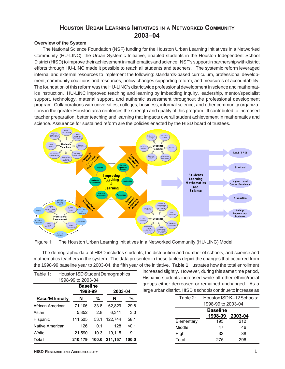# **HOUSTON URBAN LEARNING INITIATIVES IN A NETWORKED COMMUNITY 2003–04**

### **Overview of the System**

The National Science Foundation (NSF) funding for the Houston Urban Learning Initiatives in a Networked Community (HU-LINC), the Urban Systemic Initiative, enabled students in the Houston Independent School District (HISD) to improve their achievement in mathematics and science. NSF's support in partnership with district efforts through HU-LINC made it possible to reach all students and teachers. The systemic reform leveraged internal and external resources to implement the following: standards-based curriculum, professional development, community coalitions and resources, policy changes supporting reform, and measures of accountability. The foundation of this reform was the HU-LINC's districtwide professional development in science and mathematics instruction. HU-LINC improved teaching and learning by imbedding inquiry, leadership, mentor/specialist support, technology, material support, and authentic assessment throughout the professional development program. Collaborations with universities, colleges, business, informal science, and other community organizations in the greater Houston area reinforces the strength and quality of this program. It contributed to increased teacher preparation, better teaching and learning that impacts overall student achievement in mathematics and science. Assurance for sustained reform are the policies enacted by the HISD board of trustees.



Figure 1: The Houston Urban Learning Initiatives in a Networked Community (HU-LINC) Model

The demographic data of HISD includes students, the distribution and number of schools, and science and mathematics teachers in the system. The data presented in these tables depict the changes that occurred from the 1998-99 baseline year to 2003-04, the fifth year of the initiative. **Table 1** illustrates how the total enrollment

| Table 1:<br>Houston ISD Student Demographics |                                       |       |         |       |  |  |  |
|----------------------------------------------|---------------------------------------|-------|---------|-------|--|--|--|
|                                              | 1998-99 to 2003-04                    |       |         |       |  |  |  |
|                                              | <b>Baseline</b><br>1998-99<br>2003-04 |       |         |       |  |  |  |
| ℅<br><b>Race/Ethnicity</b><br>%<br>N<br>N    |                                       |       |         |       |  |  |  |
| African American                             | 71,106                                | 33.8  | 62,829  | 29.8  |  |  |  |
| Asian                                        | 5,852                                 | 2.8   | 6.341   | 3.0   |  |  |  |
| Hispanic                                     | 111,505                               | 53.1  | 122,744 | 58.1  |  |  |  |
| Native American                              | 126                                   | 0.1   | 128     | < 0.1 |  |  |  |
| White                                        | 21,590                                | 10.3  | 19.115  | 9.1   |  |  |  |
| Total                                        | 210,179                               | 100.0 | 211,157 | 100.0 |  |  |  |

increased slightly. However, during this same time period, Hispanic students increased while all other ethnic/racial groups either decreased or remained unchanged. As a large urban district, HISD's schools continue to increase as

| Table $2$ : | Houston ISD K-12 Schools: |     |  |  |  |  |
|-------------|---------------------------|-----|--|--|--|--|
|             | 1998-99 to 2003-04        |     |  |  |  |  |
|             | <b>Baseline</b>           |     |  |  |  |  |
|             | 1998-99<br>2003-04        |     |  |  |  |  |
| Elementary  | 195                       | 212 |  |  |  |  |
| Middle      | 47                        | 46  |  |  |  |  |
| High        | 33                        | 38  |  |  |  |  |
| Total       | 275                       | 296 |  |  |  |  |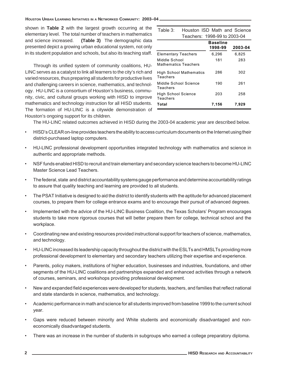shown in **Table 2** with the largest growth occurring at the elementary level. The total number of teachers in mathematics and science increased. **(Table 3)** The demographic data presented depict a growing urban educational system, not only in its student population and schools, but also its teaching staff.

Through its unified system of community coalitions, HU-LINC serves as a catalyst to link all learners to the city's rich and varied resources, thus preparing all students for productive lives and challenging careers in science, mathematics, and technology. HU-LINC is a consortium of Houston's business, community, civic, and cultural groups working with HISD to improve mathematics and technology instruction for all HISD students. The formation of HU-LINC is a citywide demonstration of Houston's ongoing support for its children.

|                                              | Teachers: 1998-99 to 2003-04 |         |  |  |
|----------------------------------------------|------------------------------|---------|--|--|
|                                              | <b>Baseline</b><br>1998-99   | 2003-04 |  |  |
| <b>Elementary Teachers</b>                   | 6,296                        | 6,825   |  |  |
| Middle School<br><b>Mathematics Teachers</b> | 181                          | 283     |  |  |
| <b>High School Mathematics</b><br>Teachers   | 286                          | 302     |  |  |
| Middle School Science<br>Teachers            | 190                          | 261     |  |  |
| High School Science<br>Teachers              | 203                          | 258     |  |  |
| Total                                        | 7,156                        | 7,929   |  |  |

Table 3: Houston ISD Math and Science

The HU-LINC related outcomes achieved in HISD during the 2003-04 academic year are described below.

- HISD's CLEAR on-line provides teachers the ability to access curriculum documents on the Internet using their district-purchased laptop computers.
- HU-LINC professional development opportunities integrated technology with mathematics and science in authentic and appropriate methods.
- NSF funds enabled HISD to recruit and train elementary and secondary science teachers to become HU-LINC Master Science Lead Teachers.
- The federal, state and district accountability systems gauge performance and determine accountability ratings to assure that quality teaching and learning are provided to all students.
- The PSAT Initiative is designed to aid the district to identify students with the aptitude for advanced placement courses, to prepare them for college entrance exams and to encourage their pursuit of advanced degrees.
- Implemented with the advice of the HU-LINC Business Coalition, the Texas Scholars' Program encourages students to take more rigorous courses that will better prepare them for college, technical school and the workplace.
- Coordinating new and existing resources provided instructional support for teachers of science, mathematics, and technology.
- HU-LINC increased its leadership capacity throughout the district with the ESLTs and HMSLTs providing more professional development to elementary and secondary teachers utilizing their expertise and experience.
- Parents, policy makers, institutions of higher education, businesses and industries, foundations, and other segments of the HU-LINC coalitions and partnerships expanded and enhanced activities through a network of courses, seminars, and workshops providing professional development.
- New and expanded field experiences were developed for students, teachers, and families that reflect national and state standards in science, mathematics, and technology.
- Academic performance in math and science for all students improved from baseline 1999 to the current school year.
- Gaps were reduced between minority and White students and economically disadvantaged and noneconomically disadvantaged students.
- There was an increase in the number of students in subgroups who earned a college preparatory diploma.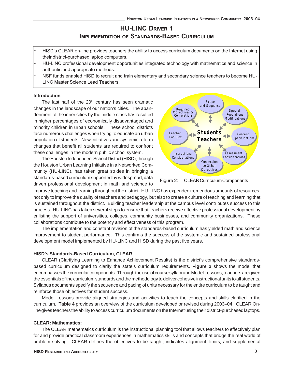# **HU-LINC DRIVER 1 IMPLEMENTATION OF STANDARDS-BASED CURRICULUM**

- HISD's CLEAR on-line provides teachers the ability to access curriculum documents on the Internet using their district-purchased laptop computers.
- HU-LINC professional development opportunities integrated technology with mathematics and science in authentic and appropriate methods.
- NSF funds enabled HISD to recruit and train elementary and secondary science teachers to become HU-LINC Master Science Lead Teachers.

#### **Introduction**

The last half of the  $20<sup>th</sup>$  century has seen dramatic changes in the landscape of our nation's cities. The abandonment of the inner cities by the middle class has resulted in higher percentages of economically disadvantaged and minority children in urban schools. These school districts face numerous challenges when trying to educate an urban population of students. New initiatives and systemic reform changes that benefit all students are required to confront these challenges in the modern public school system.

The Houston Independent School District (HISD), through the Houston Urban Learning Initiative in a Networked Community (HU-LINC), has taken great strides in bringing a standards-based curriculum supported by widespread, data driven professional development in math and science to





improve teaching and learning throughout the district. HU-LINC has expended tremendous amounts of resources, not only to improve the quality of teachers and pedagogy, but also to create a culture of teaching and learning that is sustained throughout the district. Building teacher leadership at the campus level contributes success to this process. HU-LINC has taken several steps to ensure that teachers receive effective professional development by enlisting the support of universities, colleges, community businesses, and community organizations. These collaborations contribute to the potency and effectiveness of this program.

The implementation and constant revision of the standards-based curriculum has yielded math and science improvement to student performance. This confirms the success of the systemic and sustained professional development model implemented by HU-LINC and HISD during the past five years.

### **HISD's Standards-Based Curriculum, CLEAR**

CLEAR (Clarifying Learning to Enhance Achievement Results) is the district's comprehensive standardsbased curriculum designed to clarify the state's curriculum requirements. **Figure 2** shows the model that encompasses the curricular components. Through the use of course syllabi and Model Lessons, teachers are given the essentials of the curriculum standards and the methodology to deliver cohesive instructional units to all students. Syllabus documents specify the sequence and pacing of units necessary for the entire curriculum to be taught and reinforce those objectives for student success.

Model Lessons provide aligned strategies and activities to teach the concepts and skills clarified in the curriculum. **Table 4** provides an overview of the curriculum developed or revised during 2003–04. CLEAR Online gives teachers the ability to access curriculum documents on the Internet using their district-purchased laptops.

### **CLEAR: Mathematics:**

The CLEAR mathematics curriculum is the instructional planning tool that allows teachers to effectively plan for and provide practical classroom experiences in mathematics skills and concepts that bridge the real world of problem solving. CLEAR defines the objectives to be taught, indicates alignment, limits, and supplemental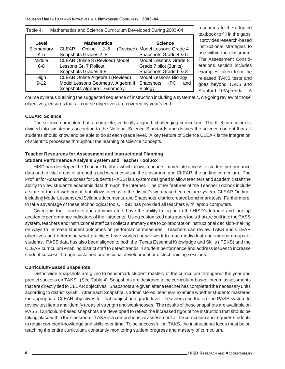| Level      | <b>Mathematics</b>                      | <b>Science</b>                  |
|------------|-----------------------------------------|---------------------------------|
| Elementary | CLEAR Online<br>$2 - 5$                 | (Revised) Model Lessons Grade 4 |
| $K-5$      | Snapshots Grades 2-5                    | Snapshots Grade 4 & 5           |
| Middle     | <b>CLEAR Online 8 (Revised) Model</b>   | Model Lessons Grade 8,          |
| $6 - 8$    | Lessons Gr. 7 Rollout                   | Grade 7 pilot (2units)          |
|            | Snapshots Grades 6-8                    | Snapshots Grade 6 & 8           |
| High       | <b>CLEAR Online Algebra I (Revised)</b> | Model Lessons Biology           |
| $9 - 12$   | Model Lessons Geometry, Algebra II      | Snapshots IPC<br>and            |
|            | Snapshots Algebra I, Geometry           | <b>Biology</b>                  |

Table 4: Mathematics and Science Curriculum Developed During 2003-04

resources to the adopted textbook to fill in the gaps. It provides research-based instructional strategies to use within the classroom. The Assessment Considerations section includes examples taken from the released TAKS tests and goes beyond TAKS and Stanford 10/Aprenda. A

course syllabus outlining the suggested sequence of instruction including a systematic, on-going review of those objectives, ensures that all course objectives are covered by year's end.

### **CLEAR: Science**

The science curriculum has a complete, vertically aligned, challenging curriculum. The K–8 curriculum is divided into six strands according to the National Science Standards and defines the science content that all students should know and be able to do at each grade level. A key feature of Science CLEAR is the integration of scientific processes throughout the learning of science concepts.

## **Teacher Resources for Assessment and Instructional Planning Student Performance Analysis System and Teacher Toolbox**

HISD has developed the Teacher Toolbox which allows teachers immediate access to student performance data and to vital areas of strengths and weaknesses in the classroom and CLEAR, the on-line curriculum. The Profiler for Academic Success for Students (PASS) is a system designed to allow teachers and academic staff the ability to view student's academic data through the Internet. The other features of the Teacher Toolbox include a state-of-the-art web portal that allows access to the district's web-based curriculum system, CLEAR On-line, including Model Lessons and Syllabus documents, and Snapshots, district created benchmark tests. Furthermore, to take advantage of these technological tools, HISD has provided all teachers with laptop computers.

Given this tool, teachers and administrators have the ability to log on to the HISD's Intranet and look up academic performance indicators of their students. Using customized data query tools that are built into the PASS system, teachers and instructional staff can collect summary data to collaborate on instructional decision-making on ways to increase student outcomes on performance measures. Teachers can review TAKS and CLEAR objectives and determine what practices have worked or will work to reach individual and various groups of students. PASS data has also been aligned to both the Texas Essential Knowledge and Skills ( TEKS) and the CLEAR curriculum enabling district staff to detect trends in student performance and address issues to increase student success through sustained professional development or district training sessions.

### **Curriculum-Based Snapshots**

Districtwide Snapshots are given to benchmark student mastery of the curriculum throughout the year and predict success on TAKS. (See Table 4) Snapshots are designed to be curriculum-based interim assessments that are directly tied to CLEAR objectives. Snapshots are given after a teacher has completed the necessary units according to district syllabi. After each Snapshot is administered, teachers examine whether students mastered the appropriate CLEAR objectives for that subject and grade level. Teachers use the on-line PASS system to review test items and identify areas of strength and weaknesses. The results of these snapshots are available on PASS. Curriculum-based snapshots are developed to reflect the increased rigor of the instruction that should be taking place within the classroom. TAKS is a comprehensive assessment of the curriculum and requires students to retain complex knowledge and skills over time. To be successful on TAKS, the instructional focus must be on teaching the entire curriculum, constantly monitoring student progress and mastery of curriculum.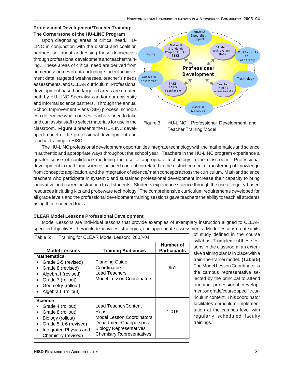## **Professional Development/Teacher Training: The Cornerstone of the HU-LINC Program**

Upon diagnosing areas of critical need, HU-LINC in conjunction with the district and coalition partners set about addressing those deficiencies through professional development and teacher training. These areas of critical need are derived from numerous sources of data including: student achievement data, targeted weaknesses, teacher's needs assessments, and CLEAR curriculum. Professional development based on targeted areas are created both by HU-LINC Specialists and/or our university and informal science partners. Through the annual School Improvement Plans (SIP) process, schools can determine what courses teachers need to take and can assist staff to select materials for use in the classroom. **Figure 3** presents the HU-LINC developed model of the professional development and teacher training in HISD.



Figure 3: HU-LINC Professional Development and Teacher Training Model

The HU-LINC professional development opportunities integrate technology with the mathematics and science in authentic and appropriate ways throughout the school year. Teachers in the HU-LINC program experience a greater sense of confidence modeling the use of appropriate technology in the classroom. Professional development in math and science included content correlated to the district curricula, transferring of knowledge from concept to application, and the integration of science/math concepts across the curriculum. Math and science teachers who participate in systemic and sustained professional development increase their capacity to bring innovative and current instruction to all students. Students experience science through the use of inquiry-based resources including kits and probeware technology. The comprehensive curriculum requirements developed for all grade levels and the professional development training sessions gave teachers the ability to teach all students using these needed tools.

### **CLEAR Model Lessons Professional Development**

Model Lessons are individual lessons that provide examples of exemplary instruction aligned to CLEAR specified objectives; they include activities, strategies, and appropriate assessments. Model lessons create units

| Training for CLEAR Model Lesson: 2003-04<br>Table 5:                                                                                                          |                                                                                                                                                                   |                                  |  |  |
|---------------------------------------------------------------------------------------------------------------------------------------------------------------|-------------------------------------------------------------------------------------------------------------------------------------------------------------------|----------------------------------|--|--|
| <b>Model Lessons</b>                                                                                                                                          | <b>Training Audiences</b>                                                                                                                                         | Number of<br><b>Participants</b> |  |  |
| <b>Mathematics</b><br>Grade 2-5 (revised)<br>Grade 8 (revised)<br>Algebra I (revised)<br>Grade 7 (rollout)<br>Geometry (rollout)<br>Algebra II (rollout)      | <b>Planning Guide</b><br>Coordinators<br>Lead Teachers<br><b>Model Lesson Coordinators</b>                                                                        | 951                              |  |  |
| Science<br>Grade 4 (rollout)<br>Grade 8 (rollout)<br>Biology (rollout)<br>Grade 5 & 6 (revised)<br>$\bullet$<br>Integrated Physics and<br>Chemistry (revised) | Lead Teacher/Content<br>Reps<br><b>Model Lesson Coordinators</b><br>Department Chairpersons<br><b>Biology Representatives</b><br><b>Chemistry Representatives</b> | 1,016                            |  |  |

of study defined in the course syllabus. To implement these lessons in the classroom, an extensive training plan is in place with a train-the-trainer model. **(Table 5)** The Model Lesson Coordinator is the campus representative selected by the principal to attend ongoing professional development on grade/course specific curriculum content. This coordinator facilitates curriculum implementation at the campus level with regularly scheduled faculty trainings.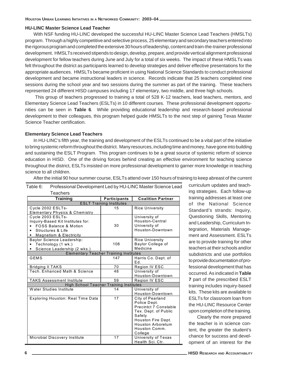# **HU-LINC Master Science Lead Teacher**

With NSF funding HU-LINC developed the successful HU-LINC Master Science Lead Teachers (HMSLTs) program. Through a highly competitive and selective process, 25 elementary and secondary teachers entered into the rigorous program and completed the extensive 30 hours of leadership, content and train-the-trainer professional development. HMSLTs received stipends to design, develop, prepare, and provide vertical alignment professional development for fellow teachers during June and July for a total of six weeks. The impact of these HMSLTs was felt throughout the district as participants learned to develop strategies and deliver effective presentations for the appropriate audiences. HMSLTs became proficient in using National Science Standards to conduct professional development and became instructional leaders in science. Records indicate that 25 teachers completed nine sessions during the school year and two sessions during the summer as part of the training. These teachers represented 24 different HISD campuses including 17 elementary, two middle, and three high schools.

 This group of teachers progressed to training a total of 528 K-12 teachers, lead teachers, mentors, and Elementary Science Lead Teachers (ESLTs) in 10 different courses. These professional development opportunities can be seen in **Table 6**. While providing educational leadership and research-based professional development to their colleagues, this program helped guide HMSLTs to the next step of gaining Texas Master Science Teacher certification.

### **Elementary Science Lead Teachers**

In HU-LINC's fifth year, the training and development of the ESLTs continued to be a vital part of the initiative to bring systemic reform throughout the district. Many resources, including time and money, have gone into building and sustaining the ESLT Program. This program continues to be a great source of systemic reform of science education in HISD. One of the driving forces behind creating an effective environment for teaching science throughout the district, ESLTs insisted on more professional development to garner more knowledge in teaching science to all children.

After the initial 90 hour summer course, ESLTs attend over 150 hours of training to keep abreast of the current

| Teachers                                       |                                 |                              |
|------------------------------------------------|---------------------------------|------------------------------|
| <b>Training</b>                                | <b>Participants</b>             | <b>Coalition Partner</b>     |
|                                                | <b>ESLT Training Institutes</b> |                              |
| Cycle 2002 ESLTs-                              | 15                              | <b>Rice University</b>       |
| <b>Elementary Physics &amp; Chemistry</b>      |                                 |                              |
| Cycle 2003 ESLTs-                              |                                 | University of                |
| Inquiry-Based Kit Institutes for:              |                                 | Houston-Central              |
| <b>FOSS Balance &amp; Motion</b>               | 30                              | University of                |
| Structures & Life                              |                                 | Houston-Downtown             |
| Magnetism & Electricity<br>٠                   |                                 |                              |
| Baylor Science Leadership:                     |                                 | <b>Rice University</b>       |
| Technology (1 wk.)                             | 108                             | Baylor College of            |
| Science Leadership (2 wks.)                    |                                 | Medicine                     |
| <b>Elementary Teacher Training Institutes</b>  |                                 |                              |
| <b>GEMS</b>                                    | 147                             | Harris Co. Dept. of          |
|                                                |                                 | Ed.                          |
| Bridging II TAKS                               | 70                              | Region IV ESC                |
| Tech. Enhanced Math & Science                  | 48                              | University of                |
|                                                |                                 | Houston-Downtown             |
| <b>TAKS Assessment Institute</b>               | 59                              | Region IV ESC                |
| <b>High School Teacher Training Institutes</b> |                                 |                              |
| Water Studies Institute                        | 14                              | University of                |
|                                                |                                 | Houston-Downtown             |
| <b>Exploring Houston: Real Time Data</b>       | 17                              | City of Pearland             |
|                                                |                                 | Police Dept.                 |
|                                                |                                 | <b>Precintct 7 Constable</b> |
|                                                |                                 | Tex. Dept. of Public         |
|                                                |                                 | Safety                       |
|                                                |                                 | Houston Fire Dept.           |
|                                                |                                 | <b>Houston Arboretum</b>     |
|                                                |                                 | Houston Comm.                |
|                                                |                                 | College                      |
| Microbial Discovery Institute                  | 17                              | University of Texas          |
|                                                |                                 | Health Sci. Ctr.             |

Table 6: Professional Development Led by HU-LINC Master Science Lead

curriculum updates and teaching strategies. Each follow-up training addresses at least one of the National Science Standard's strands: Inquiry, Questioning Skills, Mentoring and Leadership, Curriculum Integration, Materials Management and Assessment. ESLTs are to provide training for other teachers at their schools and/or subdistricts and use portfolios to provide documentation of professional development that has occurred. As indicated in **Table 7** part of the prescribed ESLT training includes inquiry-based kits. These kits are available to ESLTs for classroom loan from the HU-LINC Resource Center upon completion of the training.

Clearly the more prepared the teacher is in science content, the greater the student's chance for success and development of an interest for the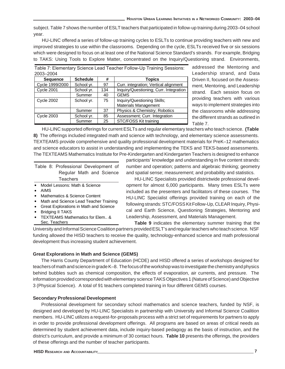subject. Table 7 shows the number of ESLT teachers that participated in follow-up training during 2003–04 school year.

HU-LINC offered a series of follow-up training cycles to ESLTs to continue providing teachers with new and improved strategies to use within the classrooms. Depending on the cycle, ESLTs received five or six sessions which were designed to focus on at least one of the National Science Standard's strands. For example, Bridging to TAKS: Using Tools to Explore Matter, concentrated on the Inquiry/Questioning strand. Environments,

| 2003-2004         |                 |     |                                        |
|-------------------|-----------------|-----|----------------------------------------|
| <b>Sequence</b>   | <b>Schedule</b> | #   | <b>Topics</b>                          |
| Cycle 1999/2000   | School yr.      | 97  | Curr. integration; Vertical alignment  |
| <b>Cycle 2001</b> | School yr.      | 134 | Inquiry/Questioning; Curr. Integration |
|                   | Summer          | 40  | <b>GEMS</b>                            |
| <b>Cycle 2002</b> | School yr.      | 75  | Inquiry/Questioning Skills;            |
|                   |                 |     | <b>Materials Management</b>            |
|                   | Summer          | 37  | Physics & Chemistry; Robotics          |
| <b>Cycle 2003</b> | School yr.      | 85  | Assessment; Curr. Integration          |
|                   | Summer          | 25  | STC/FOSS Kit training                  |

Table 7: Elementary Science Lead Teacher Follow-Up Training Sessions:

addressed the Mentoring and Leadership strand, and Data Driven II, focused on the Assessment, Mentoring, and Leadership strand. Each session focus on providing teachers with various ways to implement strategies into the classrooms while addressing the different strands as outlined in Table 7.

HU-LINC supported offerings for current ESLTs and regular elementary teachers who teach science. **(Table 8)** The offerings included integrated math and science with technology, and elementary science assessments. TEXTEAMS provide comprehensive and quality professional development materials for PreK–12 mathematics and science educators to assist in understanding and implementing the TEKS and TEKS-based assessments. The TEXTEAMS Mathematics Institute for Pre-Kindergarten and Kindergarten Teachers is designed to enhance

|  | Table 8: Professional Development of |  |  |  |
|--|--------------------------------------|--|--|--|
|  | Regular Math and Science             |  |  |  |
|  | <b>Teachers</b>                      |  |  |  |

- Model Lessons: Math & Science
- AIMS
- Mathematics & Science Content
- Math and Science Lead Teacher Training
- Great Explorations in Math and Science
- Bridging II TAKS
- TEXTEAMS Mathematics for Elem.. & Sec. Teachers

participants' knowledge and understanding in five content strands: number and operation; patterns and algebraic thinking; geometry and spatial sense; measurement; and probability and statistics.

HU-LINC Specialists provided districtwide professional development for almost 6,000 participants. Many times ESLTs were included as the presenters and facilitators of these courses. The HU-LINC Specialist offerings provided training on each of the following strands: STC/FOSS Kit Follow-Up, CLEAR Inquiry, Physical and Earth Science, Questioning Strategies, Mentoring and Leadership, Assessment, and Materials Management.

**Table 9** indicates the elementary summer training that the University and Informal Science Coalition partners provided ESLT's and regular teachers who teach science. NSF funding allowed the HISD teachers to receive the quality, technology-enhanced science and math professional development thus increasing student achievement.

# **Great Explorations in Math and Science (GEMS)**

The Harris County Department of Education (HCDE) and HISD offered a series of workshops designed for teachers of math and science in grade K–8. The focus of the workshop was to investigate the chemistry and physics behind bubbles such as chemical composition, the effects of evaporation, air currents, and pressure. The information provided corresponded with elementary science TAKS Objectives 1 (Nature of Science) and Objective 3 (Physical Science). A total of 91 teachers completed training in four different GEMS courses.

# **Secondary Professional Development**

Professional development for secondary school mathematics and science teachers, funded by NSF, is designed and developed by HU-LINC Specialists in partnership with University and Informal Science Coalition members. HU-LINC utilizes a request-for-proposals process with a strict set of requirements for partners to apply in order to provide professional development offerings. All programs are based on areas of critical needs as determined by student achievement data, include inquiry-based pedagogy as the basis of instruction, and the district's curriculum, and provide a minimum of 30 contact hours. **Table 10** presents the offerings, the providers of these offerings and the number of teacher participants.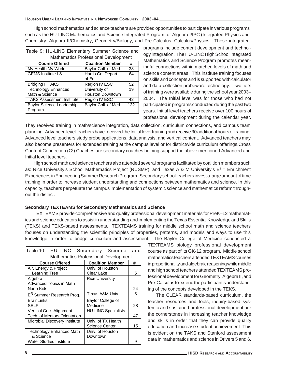High school mathematics and science teachers are provided opportunities to participate in various programs such as the HU-LINC Mathematics and Science Integrated Program for Algebra I/IPC (Integrated Physics and Chemistry; Algebra II/Chemistry; Geometry/Biology, and Pre-Calculus, Calculus/Physics. These integrated

| Table 9: HU-LINC Elementary Summer Science and<br><b>Mathematics Professional Development</b> |                         |     |  |
|-----------------------------------------------------------------------------------------------|-------------------------|-----|--|
|                                                                                               |                         |     |  |
| <b>Course Offered</b>                                                                         | <b>Coalition Member</b> | #   |  |
| My Health My World                                                                            | Baylor Coll. of Med.    | 33  |  |
| GEMS Institute   & II                                                                         | Harris Co. Depart.      | 64  |  |
|                                                                                               | of Ed.                  |     |  |
| <b>Bridging II TAKS</b>                                                                       | Region IV ESC           | 52  |  |
| <b>Technology Enhanced</b>                                                                    | University of           | 19  |  |
| Math & Science                                                                                | <b>Houston Downtown</b> |     |  |
| <b>TAKS Assessment Institute</b>                                                              | Region IV ESC           | 42  |  |
| <b>Baylor Science Leadership</b>                                                              | Baylor Coll. of Med.    | 132 |  |
| Program                                                                                       |                         |     |  |

programs include content development and technology integration. The HU-LINC High School Integrated Mathematics and Science Program promotes meaningful connections within matched levels of math and science content areas. This institute training focuses on skills and concepts and is supported with calculator and data-collection probeware technology. Two tiers of training were available during the school year 2003– 2004. The Initial level was for those who had not participated in programs conducted during the past two years. Initial level teachers receive over 100 hours of professional development during the calendar year.

They received training in math/science integration, data collection, curriculum connections, and campus team planning. Advanced level teachers have received the Initial level training and receive 30 additional hours of training. Advanced level teachers study probe applications, data analysis, and vertical content. Advanced teachers may also become presenters for extended training at the campus level or for districtwide curriculum offerings.Cross Content Connection (C<sup>3</sup>) Coaches are secondary coaches helping support the above mentioned Advanced and Initial level teachers.

High school math and science teachers also attended several programs facilitated by coalition members such as: Rice University's School Mathematics Project (RUSMP); and Texas A & M University's E<sup>3</sup> = Enrichment Experiences in Engineering Summer Research Program. Secondary school teachers invest a large amount of time training in order to increase student understanding and connections between mathematics and science. In this capacity, teachers perpetuate the campus implementation of systemic science and mathematics reform throughout the district.

### **Secondary TEXTEAMS for Secondary Mathematics and Science**

TEXTEAMS provide comprehensive and quality professional development materials for PreK–12 mathematics and science educators to assist in understanding and implementing the Texas Essential Knowledge and Skills (TEKS) and TEKS-based assessments. TEXTEAMS training for middle school math and science teachers focuses on understanding the scientific principles of properties, patterns, and models and ways to use this knowledge in order to bridge curriculum and assessment. The Baylor College of Medicine conducted a

| <b>Mathematics Professional Development</b> |                            |    |  |  |
|---------------------------------------------|----------------------------|----|--|--|
| <b>Course Offered</b>                       | <b>Coalition Member</b>    | #  |  |  |
| Air, Energy & Project                       | Univ. of Houston           |    |  |  |
| <b>Learning Tree</b>                        | Clear Lake                 | 5  |  |  |
| Algebra I                                   | <b>Rice University</b>     |    |  |  |
| Advanced Topics in Math                     |                            |    |  |  |
| Nano Kids                                   |                            | 24 |  |  |
| E <sup>3</sup> Summer Research Prog.        | Texas A&M Univ.            | 5  |  |  |
| <b>BrainLinks</b>                           | Baylor College of          |    |  |  |
| SELF                                        | Medicine                   | 28 |  |  |
| Vertical Curr. Alignment                    | <b>HU-LINC Specialists</b> |    |  |  |
| <b>Tech. of Mentors Orientation</b>         |                            | 47 |  |  |
| Microbial Discovery Institute               | Univ. of TX Health         |    |  |  |
|                                             | <b>Science Center</b>      | 15 |  |  |
| <b>Technology Enhanced Math</b>             | Univ. of Houston           |    |  |  |
| & Science                                   | Downtown                   |    |  |  |
| Water Studies Institute                     |                            | g  |  |  |

|                                             | <b>Course Offered</b>                   |  | <b>Coalition Member</b> |  |  |  |  |  |  |
|---------------------------------------------|-----------------------------------------|--|-------------------------|--|--|--|--|--|--|
| <b>Mathematics Professional Development</b> |                                         |  |                         |  |  |  |  |  |  |
|                                             | Table 10: HU-LINC Secondary Science and |  |                         |  |  |  |  |  |  |

TEXTEAMS biology professional development course as part of its GK-12 program. Middle school mathematics teachers attended TEXTEAMS courses in proportionality and algebraic reasoning while middle and high school teachers attended TEXTEAMS professional development for Geometry, Algebra II, and Pre-Calculus to extend the participant's understanding of the concepts developed in the TEKS.

The CLEAR standards-based curriculum, the teacher resources and tools, inquiry-based systemic and sustained professional development are the cornerstones in increasing teacher knowledge and skills in order that they can provide quality education and increase student achievement. This is evident on the TAKS and Stanford assessment data in mathematics and science in Drivers 5 and 6.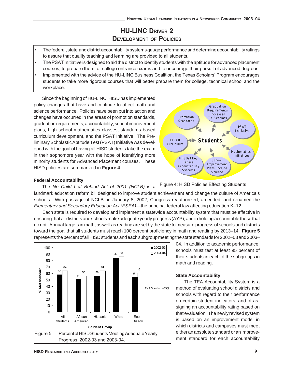# **HU-LINC DRIVER 2 DEVELOPMENT OF POLICIES**

- The federal, state and district accountability systems gauge performance and determine accountability ratings to assure that quality teaching and learning are provided to all students.
- The PSAT Initiative is designed to aid the district to identify students with the aptitude for advanced placement courses, to prepare them for college entrance exams and to encourage their pursuit of advanced degrees.
- Implemented with the advice of the HU-LINC Business Coalition, the Texas Scholars' Program encourages students to take more rigorous courses that will better prepare them for college, technical school and the workplace.

Since the beginning of HU-LINC, HISD has implemented policy changes that have and continue to affect math and science performance. Policies have been put into action and changes have occurred in the areas of promotion standards, graduation requirements, accountability, school improvement plans, high school mathematics classes, standards based curriculum development, and the PSAT Initiative. The Preliminary Scholastic Aptitude Test (PSAT) Initiative was developed with the goal of having all HISD students take the exam in their sophomore year with the hope of identifying more minority students for Advanced Placement courses. These HISD policies are summarized in **Figure 4**.



### **Federal Accountability**

Figure 4: HISD Policies Effecting Students The *No Child Left Behind Act of 2001 (NCLB)* is a landmark education reform bill designed to improve student achievement and change the culture of America's schools. With passage of NCLB on January 8, 2002, Congress reauthorized, amended, and renamed the *Elementary and Secondary Education Act (ESEA)*—the principal federal law affecting education K–12.

Each state is required to develop and implement a statewide accountability system that must be effective in ensuring that all districts and schools make adequate yearly progress (AYP), and in holding accountable those that do not. Annual targets in math, as well as reading are set by the state to measure progress of schools and districts toward the goal that all students must reach 100 percent proficiency in math and reading by 2013–14. **Figure 5** represents the percent of all HISD students and each subgroup meeting the state standards for 2002–03 and 2003–



04. In addition to academic performance, schools must test at least 95 percent of their students in each of the subgroups in math and reading.

### **State Accountability**

The TEA Accountability System is a method of evaluating school districts and schools with regard to their performance on certain student indicators, and of assigning an accountability rating based on that evaluation. The newly revised system is based on an improvement model in which districts and campuses must meet either an absolute standard or an improvement standard for each accountability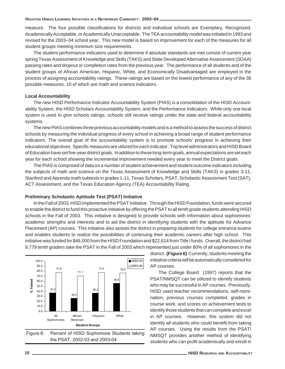measure. The four possible classifications for districts and individual schools are Exemplary, Recognized, Academically Acceptable, or Academically Unacceptable. The TEA accountability model was initiated in 1993 and revised for the 2003–04 school year. This new model is based on improvement for each of the measures for all student groups meeting minimum size requirements.

The student performance indicators used to determine if absolute standards are met consist of current year spring Texas Assessment of Knowledge and Skills (TAKS) and State Developed Alternative Assessment (SDAA) passing rates and dropout or completion rates from the previous year. The performance of all students and of the student groups of African American, Hispanic, White, and Economically Disadvantaged are employed in the process of assigning accountability ratings. These ratings are based on the lowest performance of any of the 36 possible measures, 10 of which are math and science indicators.

### **Local Accountability**

The new HISD Performance Indicator Accountability System (PIAS) is a consolidation of the HISD Accountability System, the HISD Scholars Accountability System, and the Performance Indicators. While only one local system is used to give schools ratings, schools still receive ratings under the state and federal accountability systems.

The new PIAS combines three previous accountability models and is a method to assess the success of district schools by measuring the individual progress of every school in achieving a broad range of student performance indicators. The overall goal of the accountability system is to promote schools' progress in achieving their educational objectives. Specific measures are utilized for each indicator. Top level administrators and HISD Board of Education have set five-year district goals. In addition to these long-term goals, annual expectations are set each year for each school showing the incremental improvement needed every year to meet the District goals.

The PIAS is comprised of data on a number of student achievement and student outcome indicators including the subjects of math and science on the Texas Assessment of Knowledge and Skills (TAKS) in grades 3-11, Stanford and Aprenda math subtests in grades 1-11, Texas Scholars, PSAT, Scholastic Assessment Test (SAT), ACT Assessment, and the Texas Education Agency (TEA) Accountability Rating.

#### **Preliminary Scholastic Aptitude Test (PSAT) Initiative**

In the Fall of 2003, HISD implemented the PSAT Initiative. Through the HISD Foundation, funds were secured to enable the district to fund this proactive initiative by offering the PSAT to all tenth grade students attending HISD schools in the Fall of 2003. This initiative is designed to provide schools with information about sophomores' academic strengths and interests and to aid the district in identifying students with the aptitude for Advance Placement (AP) courses. This initiative also assists the district in preparing students for college entrance exams and enables students to realize the possibilities of continuing their academic careers after high school. This initiative was funded for \$46,000 from the HISD Foundation and \$22,614 from Title I funds. Overall, the district had 9,779 tenth graders take the PSAT in the Fall of 2003 which represented just under 80% of all sophomores in the



Figure 6: Percent of HISD Sophomore Students taking the PSAT, 2002-03 and 2003-04

district. **(Figure 6)** Currently, students meeting the initiative criteria will be automatically considered for AP courses.

The College Board (1997) reports that the PSAT/NMSQT can be utilized to identify students who may be successful in AP courses. Previously, HISD used teacher recommendations, self-nomination, previous courses completed, grades in course work, and scores on achievement tests to identify those students that can complete and excel in AP courses. However, this system did not identify all students who could benefit from taking AP courses. Using the results from the PSAT/ NMSQT provides another method of identifying students who can profit academically and enroll in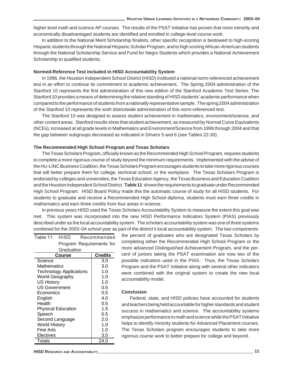higher level math and science AP courses. The results of the PSAT Initiative has proven that more minority and economically disadvantaged students are identified and enrolled in college-level course work.

In addition to the National Merit Scholarship finalists, other specific recognition is bestowed to high-scoring Hispanic students through the National Hispanic Scholar Program, and to high scoring African-American students through the National Scholarship Service and Fund for Negro Students which provides a National Achievement Scholarship to qualified students.

### **Normed-Reference Test included in HISD Accountability System**

In 1996, the Houston Independent School District (HISD) instituted a national norm-referenced achievement test in an effort to continue its commitment to academic achievement. The Spring 2004 administration of the Stanford 10 represents the first administration of this new edition of the Stanford Academic Test Series. The Stanford 10 provides a means of determining the relative standing of HISD students' academic performance when compared to the performance of students from a nationally representative sample. The spring 2004 administration of the Stanford 10 represents the sixth districtwide administration of this norm-referenced test.

The Stanford 10 was designed to assess student achievement in mathematics, environment/science, and other content areas. Stanford results show that student achievement, as measured by Normal Curve Equivalents (NCEs), increased at all grade levels in Mathematics and Environment/Science from 1999 through 2004 and that the gap between subgroups decreased as indicated in Drivers 5 and 6 (see Tables 22-30).

### **The Recommended High School Program and Texas Scholars**

The Texas Scholars Program, officially known as the Recommended High School Program, requires students to complete a more rigorous course of study beyond the minimum requirements. Implemented with the advise of the HU-LINC Business Coalition, the Texas Scholars Program encourages students to take more rigorous courses that will better prepare them for college, technical school, or the workplace. The Texas Scholars Program is endorsed by colleges and universities, the Texas Education Agency, the Texas Business and Education Coalition and the Houston Independent School District. **Table 11** shows the requirements to graduate under Recommended High School Program. HISD Board Policy made this the automatic course of study for all HISD students. For students to graduate and receive a Recommended High School diploma, students must earn three credits in mathematics and earn three credits from four areas in science.

In previous years HISD used the Texas Scholars Accountability System to measure the extent this goal was met. This system was incorporated into the new HISD Performance Indicators System (PIAS) previously described under as the local accountability system. The scholars accountability system was one of three systems combined for the 2003–04 school year as part of the district's local accountability system. The two components:

| Table 11: HISD                  |                                | Recommended              |             |  |  |  |  |  |
|---------------------------------|--------------------------------|--------------------------|-------------|--|--|--|--|--|
|                                 |                                | Program Requirements for |             |  |  |  |  |  |
|                                 | Graduation                     |                          |             |  |  |  |  |  |
| <b>Credits</b><br><b>Course</b> |                                |                          |             |  |  |  |  |  |
| Science                         |                                |                          | 3.0         |  |  |  |  |  |
| Mathematics                     |                                |                          | 3.0         |  |  |  |  |  |
|                                 | <b>Technology Applications</b> |                          | 1.0         |  |  |  |  |  |
| <b>World Geography</b>          |                                |                          | 1. $\Omega$ |  |  |  |  |  |
| <b>US History</b>               |                                |                          | 1.0         |  |  |  |  |  |
| <b>US Government</b>            |                                |                          | 0.5         |  |  |  |  |  |
| Economics                       | 0.5                            |                          |             |  |  |  |  |  |
| English                         |                                |                          | 4.0         |  |  |  |  |  |
| Health                          |                                |                          | 0.5         |  |  |  |  |  |
|                                 | <b>Physical Education</b>      |                          | 1.5         |  |  |  |  |  |
| Speech                          |                                |                          | 0.5         |  |  |  |  |  |
| Second Language                 | 2.0                            |                          |             |  |  |  |  |  |
| World History                   | 1.0                            |                          |             |  |  |  |  |  |
| Fine Arts                       | 1.0                            |                          |             |  |  |  |  |  |
| Electives                       |                                |                          | 3.5         |  |  |  |  |  |
| Totals                          |                                |                          | 24.0        |  |  |  |  |  |

the percent of graduates who are designated Texas Scholars by completing either the Recommended High School Program or the more advanced Distinguished Achievement Program, and the percent of juniors taking the PSAT examination are now two of the possible indicators used in the PIAS. Thus, the Texas Scholars Program and the PSAT Initiative along with several other indicators were combined with the original system to create the new local accountability model.

### **Conclusion**

Federal, state, and HISD policies have accounted for students and teachers being held accountable for higher standards and student success in mathematics and science. The accountability systems emphasize performance in math and science while the PSAT Initiative helps to identify minority students for Advanced Placement courses. The Texas Scholars program encourages students to take more rigorous course work to better prepare for college and beyond.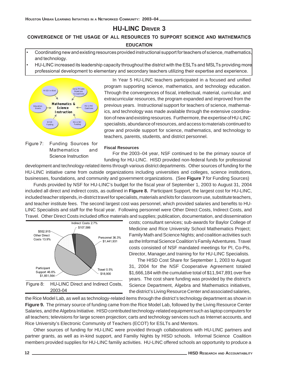# **HU-LINC DRIVER 3**

# **CONVERGENCE OF THE USAGE OF ALL RESOURCES TO SUPPORT SCIENCE AND MATHEMATICS EDUCATION**

- Coordinating new and existing resources provided instructional support for teachers of science, mathematics, and technology.
- HU-LINC increased its leadership capacity throughout the district with the ESLTs and MSLTs providing more professional development to elementary and secondary teachers utilizing their expertise and experience.



Figure 7: Funding Sources for Mathematics and Science Instruction

In Year 5 HU-LINC teachers participated in a focused and unified program supporting science, mathematics, and technology education. Through the convergences of fiscal, intellectual, material, curricular, and extracurricular resources, the program expanded and improved from the previous years. Instructional support for teachers of science, mathematics, and technology was made available through the extensive coordination of new and existing resources. Furthermore, the expertise of HU-LINC specialists, abundance of resources, and access to materials continued to grow and provide support for science, mathematics, and technology to teachers, parents, students, and district personnel.

#### **Fiscal Resources**

For the 2003–04 year, NSF continued to be the primary source of funding for HU-LINC. HISD provided non-federal funds for professional

development and technology-related items through various district departments. Other sources of funding for the HU-LINC initiative came from outside organizations including universities and colleges, science institutions, businesses, foundations, and community and government organizations. (See **Figure 7** for Funding Sources)

Funds provided by NSF for HU-LINC's budget for the fiscal year of September 1, 2003 to August 31, 2004 included all direct and indirect costs, as outlined in **Figure 8.** Participant Support, the largest cost for HU-LINC, included teacher stipends, in-district travel for specialists, materials and kits for classroom use, substitute teachers, and teacher institute fees. The second largest cost was personnel, which provided salaries and benefits to HU-LINC Specialists and staff for the fiscal year. Following personnel were Other Direct Costs, Indirect Costs, and Travel. Other Direct Costs included office materials and supplies; publication, documentation, and dissemination



costs; consultant services; sub-awards for Baylor College of Medicine and Rice University School Mathematics Project; Family Math and Science Nights; and coalition activities such as the Informal Science Coalition's Family Adventures. Travel costs consisted of NSF mandated meetings for PI, Co-PIs, Director, Manager,and training for for HU-LINC Specialists.

The HISD Cost Share for September 1, 2003 to August 31, 2004 for the NSF Cooperative Agreement totaled \$1,666,184 with the cumulative total of \$11,947,891 over five years. The cost share funding was provided by the district's Science Department, Algebra and Mathematics initiatives, the district's Living Resource Center and associated salaries,

the Rice Model Lab, as well as technology-related items through the district's technology department as shown in **Figure 9.** The primary source of funding came from the Rice Model Lab, followed by the Living Resource Center Salaries, and the Algebra Initiative. HISD contributed technology-related equipment such as laptop computers for all teachers; televisions for large screen projection; carts and technology services such as Internet accounts, and Rice University's Electronic Community of Teachers (ECOT) for ESLTs and Mentors.

Other sources of funding for HU-LINC were provided through collaborations with HU-LINC partners and partner grants, as well as in-kind support, and Familiy Nights by HISD schools. Informal Science Coalition members provided supplies for HU-LINC familiy activities. HU-LINC offered schools an opportunity to produce a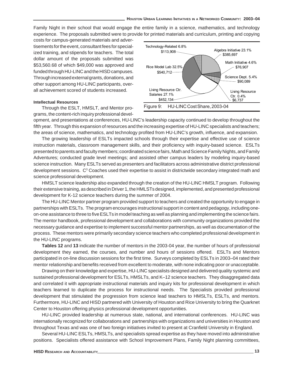Family Night in their school that would engage the entire family in a science, mathematics, and technology experience. The proposals submitted were to provide for printed materials and curriculum, printing and copying

costs for campus-generated materials and advertisements for the event, consultant fees for specialized training, and stipends for teachers. The total dollar amount of the proposals submitted was \$53,560.68 of which \$49,000 was approved and funded through HU-LINC and the HISD campuses. Through increased external grants, donations, and other support among HU-LINC participants, overall achievement scored of students increased.

### **Intellectual Resources**

Through the ESLT, HMSLT, and Mentor programs, the content-rich inquiry professional devel-



opment, and presentations at conferences, HU-LINC's leadership capacity continued to develop throughout the fifth year. Through this expansion of resources and the increasing expertise of HU-LINC specialists and teachers; the areas of science, mathematics, and technology profited from HU-LINC's growth, influence, and expansion.

The growing leadership of ESLTs impacted schools through their expertise and effective use of science instruction materials, classroom management skills, and their proficiency with inquiry-based science. ESLTs presented to parents and faculty members; coordinated science fairs, Math and Science Family Nights, and Family Adventures; conducted grade level meetings; and assisted other campus leaders by modeling inquiry-based science instruction. Many ESLTs served as presenters and facilitators across administrative district professional development sessions.  $\, {\rm C}^3$  Coaches used their expertise to assist in districtwide secondary integrated math and science professional development.

HMSLT science leadership also expanded through the creation of the HU-LINC HMSLT program. Following their extensive training, as described in Driver 1, the HMLSTs designed, implemented, and presented professional development for K-12 science teachers during the summer of 2004.

The HU-LINC Mentor partner program provided support to teachers and created the opportunity to engage in partnerships with ESLTs. The program encourages instructional support in content and pedagogy, including oneon-one assistance to three to five ESLTs in model teaching as well as planning and implementing the science fairs. The mentor handbook, professional development and collaborations with community organizations provided the necessary guidance and expertise to implement successful mentor partnerships, as well as documentation of the process. These mentors were primarily secondary science teachers who completed professional development in the HU-LINC programs.

**Tables 12** and **13** indicate the number of mentors in the 2003-04 year, the number of hours of professional development they earned, the courses, and number and hours of sessions offered. ESLTs and Mentors participated in on-line discussion sessions for the first time. Surveys completed by ESLTs in 2003–04 rated their mentor relationship and benefits received from excellent to moderate, with none indicating poor or unacceptable.

Drawing on their knowledge and expertise, HU-LINC specialists designed and delivered quality systemic and sustained professional development for ESLTs, HMSLTs, and K–12 science teachers. They disaggregated data and correlated it with appropriate instructional materials and inquiry kits for professional development in which teachers learned to duplicate the process for instructional needs. The Specialists provided professional development that stimulated the progression from science lead teachers to HMSLTs, ESLTs, and mentors. Furthermore, HU-LINC and HISD partnered with University of Houston and Rice University to bring the Quarknet Center to Houston offering physics professional development opportunities.

HU-LINC provided leadership at numerous state, national, and international conferences. HU-LINC was internationally recognized for collaborations and partnerships with organizations and universities in Houston and throughout Texas and was one of two foreign initiatives invited to present at Cranfield University in England.

Several HU-LINC ESLTs, HMSLTs, and specialists spread expertise as they have moved into administrative positions. Specialists offered assistance with School Improvement Plans, Family Night planning committees,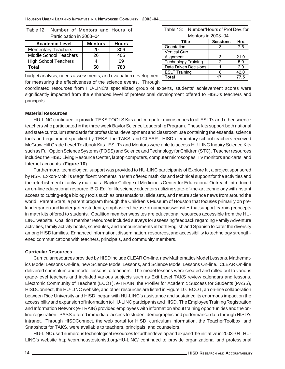| $1$ and $p$ and $p$ and $p$ in $p$ and $p$ is $p$ |                |              |  |  |  |  |  |  |  |  |  |
|---------------------------------------------------|----------------|--------------|--|--|--|--|--|--|--|--|--|
| <b>Academic Level</b>                             | <b>Mentors</b> | <b>Hours</b> |  |  |  |  |  |  |  |  |  |
| <b>Elementary Teachers</b>                        | 20             | 306          |  |  |  |  |  |  |  |  |  |
| <b>Middle School Teachers</b>                     | 26             | 405          |  |  |  |  |  |  |  |  |  |
| <b>High School Teachers</b>                       |                | 69           |  |  |  |  |  |  |  |  |  |
| Total                                             | 50             | 780          |  |  |  |  |  |  |  |  |  |

|  | Table 12: Number of Mentors and Hours of |  |  |
|--|------------------------------------------|--|--|
|  | Participation in 2003-04                 |  |  |

budget analysis, needs assessments, and evaluation development for measuring the effectiveness of the science events. Through

coordinated resources from HU-LINC's specialized group of experts, students' achievement scores were significantly impacted from the enhanced level of professional development offered to HISD's teachers and principals.

### **Material Resources**

HU-LINC continued to provide TEKS TOOLS Kits and computer microscopes to all ESLTs and other science teachers who participated in the three week Baylor Science Leadership Program. These kits support both national and state curriculum standards for professional development and classroom use containing the essential science tools and equipment specified by TEKS, the TAKS, and CLEAR. HISD elementary school teachers received McGraw Hill Grade Level Textbook Kits. ESLTs and Mentors were able to access HU-LINC Inquiry Science Kits such as Full Option Science Systems (FOSS) and Science and Technology for Children (STC). Teacher resources included the HISD Living Resource Center, laptop computers, computer microscopes, TV monitors and carts, and Internet accounts. **(Figure 10)**

Furthermore, technological support was provided to HU-LINC participants of Explore It!, a project sponsored by NSF. Exxon-Mobil's Magnificent Moments in Math offered math kits and technical support for the activities and the refurbishment of activity materials. Baylor College of Medicine's Center for Educational Outreach introduced an on-line educational resource, BIO-Ed, for life science educators utilizing state-of-the-art technology with instant access to cutting-edge biology tools such as presentations, slide sets, and nature science news from around the world. Parent Stars, a parent program through the Children's Museum of Houston that focuses primarily on prekindergarten and kindergarten students, emphasized the use of numerous websites that support learning concepts in math kits offered to students. Coalition member websites are educational resources accessible from the HU-LINC website. Coalition member resources included surveys for assessing feedback regarding Family Adventure activities, family activity books, schedules, and announcements in both English and Spanish to cater the diversity among HISD families. Enhanced information, dissemination, resources, and accessibility to technology strengthened communications with teachers, principals, and community members.

### **Curricular Resources**

Curricular resources provided by HISD include CLEAR On-line, new Mathematics Model Lessons, Mathematics Model Lessons On-line, new Science Model Lessons, and Science Model Lessons On-line. CLEAR On-line delivered curriculum and model lessons to teachers. The model lessons were created and rolled out to various grade-level teachers and included various subjects such as Exit Level TAKS review calendars and lessons. Electronic Community of Teachers (ECOT), e-TRAIN, the Profiler for Academic Success for Students (PASS), HISDConnect, the HU-LINC website, and other resources are listed in Figure 10. ECOT, an on-line collaboration between Rice University and HISD, began with HU-LINC's assistance and sustained its enormous impact on the accessibility and expansion of information to HU-LINC participants and HISD. The Employee Training Registration and Information Network (e-TRAIN) provided employees with information about training opportunities and the online registration. PASS offered immediate access to student demographic and performance data through HISD's intranet. Through HISDConnect, the web portal for HISD, curriculum information, the TeacherToolbox, and Snapshots for TAKS, were available to teachers, principals, and counselors.

HU-LINC used numerous technological resources to further develop and expand the initiative in 2003–04. HU-LINC's website http://com.houstostonisd.org/HU-LINC/ continued to provide organizational and professional

| Table 13: Number/Hours of Prof Dev. for |
|-----------------------------------------|
| Mentors in 2003–04                      |

| דט—טעט זוו בוועווסווע      |                 |      |  |  |  |  |  |  |
|----------------------------|-----------------|------|--|--|--|--|--|--|
| Title                      | <b>Sessions</b> | Hrs. |  |  |  |  |  |  |
| Orientation                |                 | 7.5  |  |  |  |  |  |  |
| Vertical Curr.             |                 |      |  |  |  |  |  |  |
| Alignment                  | 3               | 21.0 |  |  |  |  |  |  |
| <b>Technology Training</b> | 2               | 5.0  |  |  |  |  |  |  |
| Data Driven Decisions      |                 | 2.0  |  |  |  |  |  |  |
| <b>ESLT Training</b>       |                 | 42.0 |  |  |  |  |  |  |
| Total                      | 17              | 77.5 |  |  |  |  |  |  |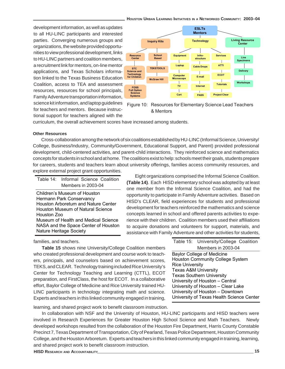#### **HOUSTON URBAN LEARNING INITIATIVES IN A NETWORKED COMMUNITY: 2003–04**

development information, as well as updates to all HU-LINC participants and interested parties. Converging numerous groups and organizations, the website provided opportunities to view professional development, links to HU-LINC partners and coalition members, a recruitment link for mentors, on-line mentor applications, and Texas Scholars information linked to the Texas Business Education Coalition, access to TEA and assessment resources, resources for school principals, Family Adventure transportation information, science kit information, and laptop guidelines for teachers and mentors. Because instructional support for teachers aligned with the



Figure 10: Resources for Elementary Science Lead Teachers & Mentors

curriculum, the overall achievement scores have increased among students.

### **Other Resources**

Cross-collaboration among the network of six coalitions established by HU-LINC (Informal Science, University/ College, Business/Industry, Community/Government, Educational Support, and Parent) provided professional development, child-centered activities, and parent-child interactions. They reinforced science and mathematics concepts for students in school and at home. The coalitions exist to help: schools meet their goals, students prepare for careers, students and teachers learn about university offerings, families access community resources, and explore external project grant opportunities.

|             | Table 14: Informal Science Coalition                            |
|-------------|-----------------------------------------------------------------|
|             | Members in 2003-04                                              |
|             | Children's Museum of Houston<br>Hermann Park Conservancy        |
|             | Houston Arboretum and Nature Center                             |
| Houston Zoo | Houston Museum of Natural Science                               |
|             | Museum of Health and Medical Science                            |
|             | NASA and the Space Center of Houston<br>Nature Heritage Society |

families, and teachers.

**Table 15** shows nine University/College Coalition members who created professional development and course work to teachers, principals, and counselors based on achievement scores, TEKS, and CLEAR. Technology training included Rice University's Center for Technology Teaching and Learning (CTTL), ECOT preparation, and FirstClass, the host for ECOT. In a collaboration effort, Baylor College of Medicine and Rice University trained LINC participants in technology integrating math and scie Experts and teachers in this linked community engaged in train

learning, and shared project work to benefit classroom instruction.

In collaboration with NSF and the University of Houston, HU-LINC participants and HISD teachers were involved in Research Experiences for Greater Houston High School Science and Math Teachers. Newly developed workshops resulted from the collaboration of the Houston Fire Department, Harris County Constable Precinct 7, Texas Department of Transportation, City of Pearland, Texas Police Department, Houston Community College, and the Houston Arboretum. Experts and teachers in this linked community engaged in training, learning, and shared project work to benefit classroom instruction.

| ◡◡╷<br>ative | <b>Texas Southern University</b><br>University of Houston - Central |
|--------------|---------------------------------------------------------------------|
| HU-          | University of Houston - Clear Lake                                  |
| nce.         | University of Houston - Downtown                                    |
| ning,        | University of Texas Health Science                                  |
| ction.       | n, HU-LINC participants and HISD teacher                            |

Baylor College of Medicine

Eight organizations comprised the Informal Science Coalition. **(Table 14)**. Each HISD elementary school was adopted by at least one member from the Informal Science Coalition, and had the opportunity to participate in Family Adventure activities. Based on HISD's CLEAR, field experiences for students and professional development for teachers reinforced the mathematics and science concepts learned in school and offered parents activities to experience with their children. Coalition members used their affiliations to acquire donations and volunteers for support, materials, and assistance with Family Adventure and other activities for students,

> Rice University Texas A&M University

Houston Community College System

Table 15: University/College Coalition Members in 2003-04

Center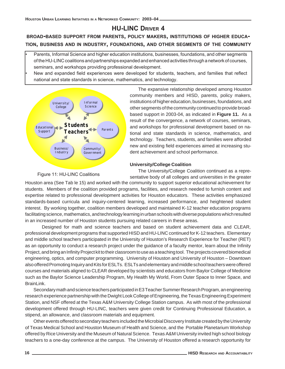# **HU-LINC DRIVER 4**

# **BROAD-BASED SUPPORT FROM PARENTS, POLICY MAKERS, INSTITUTIONS OF HIGHER EDUCA-TION, BUSINESS AND IN INDUSTRY, FOUNDATIONS, AND OTHER SEGMENTS OF THE COMMUNITY**

• Parents, Informal Science and higher education institutions, businesses, foundations, and other segments of the HU-LINC coalitions and partnerships expanded and enhanced activities through a network of courses, seminars, and workshops providing professional development.

• New and expanded field experiences were developed for students, teachers, and families that reflect national and state standards in science, mathematics, and technology.



The expansive relationship developed among Houston community members and HISD, parents, policy makers, institutions of higher education, businesses, foundations, and other segments of the community continued to provide broadbased support in 2003-04, as indicated in **Figure 11.** As a result of the convergence, a network of courses, seminars, and workshops for professional development based on national and state standards in science, mathematics, and technology. Teachers, students, and families were afforded new and existing field experiences aimed at increasing student achievement and school performance.

### **University/College Coalition**

Figure 11: HU-LINC Coalitions

The University/College Coalition continued as a representative body of all colleges and universities in the greater

Houston area (See Tab le 15) and worked with the community to support superior educational achievement for students. Members of the coalition provided programs, facilities, and research needed to furnish content and expertise related to professional development activities for Houston educators. These activities emphasized standards-based curricula and inquiry-centered learning, increased performance, and heightened student interest. By working together, coalition members developed and maintained K-12 teacher education programs facilitating science, mathematics, and technology learning in urban schools with diverse populations which resulted in an increased number of Houston students pursuing related careers in these areas.

Designed for math and science teachers and based on student achievement data and CLEAR, professional development programs that supported HISD and HU-LINC continued for K-12 teachers. Elementary and middle school teachers participated in the University of Houston's Research Experience for Teacher (RET) as an opportunity to conduct a research project under the guidance of a faculty mentor, learn about the Infinity Project, and bring an Infinity Project kit to their classroom to use as a teaching tool. The projects covered biomedical engineering, optics, and computer programming. University of Houston and University of Houston – Downtown also offered Promoting Inquiry and Kits for ESLTs. ESLTs and elementary and middle school teachers were offered courses and materials aligned to CLEAR developed by scientists and educators from Baylor College of Medicine such as the Baylor Science Leadership Program, My Health My World, From Outer Space to Inner Space, and BrainLink.

Secondary math and science teachers participated in E3 Teacher Summer Research Program, an engineering research experience partnership with the Dwight Look College of Engineering, the Texas Engineering Experiment Station, and NSF offered at the Texas A&M University College Station campus. As with most of the professional development offered through HU-LINC, teachers were given credit for Continuing Professional Education, a stipend, an allowance, and classroom materials and equipment.

Other events offered to secondary teachers included the Microbial Discovery Institute created by the University of Texas Medical School and Houston Museum of Health and Science, and the Portable Planetarium Workshop offered by Rice University and the Museum of Natural Science. Texas A&M University invited high school biology teachers to a one-day conference at the campus. The University of Houston offered a research opportunity for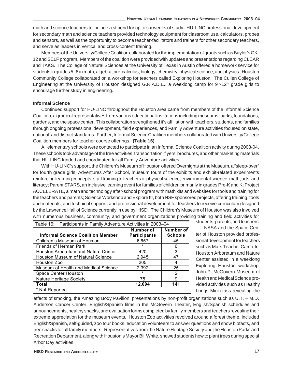math and science teachers to include a stipend for up to six weeks of study. HU-LINC professional development for secondary math and science teachers provided technology equipment for classroom use, calculators, probes and sensors, as well as the opportunity to become teacher-facilitators and trainers for other secondary teachers, and serve as leaders in vertical and cross-content training.

Members of the University/College Coalition collaborated for the implementation of grants such as Baylor's GK-12 and SELF program. Members of the coalition were provided with updates and presentations regarding CLEAR and TAKS. The College of Natural Sciences at the University of Texas in Austin offered a homework service for students in grades 5–8 in math, algebra, pre-calculus, biology, chemistry, physical science, and physics. Houston Community College collaborated on a workshop for teachers called Exploring Houston. The Cullen College of Engineering at the University of Houston designed G.R.A.D.E., a weeklong camp for 9<sup>th</sup>-12<sup>th</sup> grade girls to encourage further study in engineering.

### **Informal Science**

Continued support for HU-LINC throughout the Houston area came from members of the Informal Science Coalition, a group of representatives from various educational institutions including museums, parks, foundations, gardens, and the space center. This collaboration strengthened it's affiliation with teachers, students, and families through ongoing professional development, field experiences, and Family Adventure activities focused on state, national, and district standards. Further, Informal Science Coalition members collaborated with University/College Coalition members for teacher course offerings. **(Table 16)**.

All elementary schools were contacted to participate in an Informal Science Coalition activity during 2003-04. These schools took advantage of the free activities, transportation, flyers, brochures, and other marketing materials that HU-LINC funded and coordinated for all Family Adventure activities.

With HU-LINC's support, the Children's Museum of Houston offered Overnights at the Museum, a "sleep-over" for fourth grade girls; Adventures After School, museum tours of the exhibits and exhibit-related experiments reinforcing learning concepts; staff training to teachers of physical science, environmental science, math, arts, and literacy; Parent STARS, an inclusive learning event for families of children primarily in grades Pre-K and K; Project ACCELERATE, a math and technology after-school program with math kits and websites for tools and training for the teachers and parents; Science Workshop and Explore It!, both NSF sponsored projects, offering training, tools and materials, and technical support; and professional development for teachers to receive curriculum designed by the Lawrence Hall of Science currently in use by HISD. The Children's Museum of Houston was also involved with numerous business, community, and government organizations providing training and field activities for students, parents, and teachers.

| Table 16: Participants in Family Adventure Activities in 2003–04 |                     |                |
|------------------------------------------------------------------|---------------------|----------------|
|                                                                  | Number of           | Number of      |
| <b>Informal Science Coalition Member</b>                         | <b>Participants</b> | <b>Schools</b> |
| Children's Museum of Houston                                     | 6,657               | 45             |
| Friends of Herman Park                                           |                     | 6              |
| Houston Arboretum and Nature Center                              | 420                 | 3              |
| Houston Museum of Natural Science                                | 2,945               | 47             |
| Houston Zoo                                                      | 205                 |                |
| Museum of Health and Medical Science                             | 2,392               | 25             |
| Space Center Houston                                             |                     | 2              |
| Nature Heritage Society                                          | 75                  | 9              |
| Total                                                            | 12,694              | 141            |
| * Not Reported                                                   |                     |                |

NASA and the Space Center of Houston provided professional development for teachers such as Mars Teacher Camp-In. Houston Arboretum and Nature Center assisted in a weeklong Exploring Houston workshop. John P. McGovern Museum of Health and Medical Science provided activities such as Healthy Lungs Mini-class revealing the

effects of smoking, the Amazing Body Pavilion, presentations by non-profit organizations such as U.T. – M.D. Anderson Cancer Center, English/Spanish films in the McGovern Theater, English/Spanish schedules and announcements, healthy snacks, and evaluation forms completed by family members and teachers revealing their extreme appreciation for the museum events. Houston Zoo activities revolved around a forest theme, included English/Spanish, self-guided, zoo tour books, education volunteers to answer questions and show biofacts, and free snacks for all family members. Representatives from the Nature Heritage Society and the Houston Parks and Recreation Department, along with Houston's Mayor Bill White, showed students how to plant trees during special Arbor Day activities.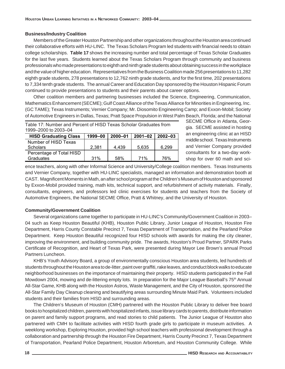### **Business/Industry Coalition**

Members of the Greater Houston Partnership and other organizations throughout the Houston area continued their collaborative efforts with HU-LINC. The Texas Scholars Program led students with financial needs to obtain college scholarships. **Table 17** shows the increasing number and total percentage of Texas Scholar Graduates for the last five years. Students learned about the Texas Scholars Program through community and business professionals who made presentations to eighth and ninth grade students about obtaining success in the workplace and the value of higher education. Representatives from the Business Coalition made 256 presentations to 11,282 eighth grade students, 278 presentations to 12,762 ninth grade students, and for the first time, 202 presentations to 7,334 tenth grade students. The annual Career and Education Day sponsored by the Houston Hispanic Forum continued to provide presentations to students and their parents about career options.

Other coalition members and partnering businesses included the Science, Engineering, Communication, Mathematics Enhancement (SECME); Gulf Coast Alliance of the Texas Alliance for Minorities in Engineering, Inc. (GC TAME); Texas Instruments; Vernier Company; Mr. Diosomito Engineering Camp; and Exxon-Mobil; Society of Automotive Engineers in Dallas, Texas; Pratt Space Propulsion in West Palm Beach, Florida; and the National

| Table 17: Number and Percent of HISD Texas Scholar Graduates from |  |
|-------------------------------------------------------------------|--|
| 1999–2000 to 2003–04                                              |  |

| <b>HISD Graduating Class</b> | 1999-00 | $2000 - 01$ | $2001 - 02$ | 2002-03 |
|------------------------------|---------|-------------|-------------|---------|
| Number of HISD Texas         |         |             |             |         |
| <b>Scholars</b>              | 2.381   | 4.439       | 5.635       | 6.299   |
| Percentage of Total HISD     |         |             |             |         |
| Graduates                    | 31%     | 58%         | 71%         | 76%     |

SECME Office in Atlanta, Georgia. SECME assisted in hosting an engineering clinic at an HISD middle school. Texas Instruments and Vernier Company provided consultants for a two-day workshop for over 60 math and sci-

ence teachers, along with other Informal Science and University/College coalition members. Texas Instruments and Vernier Company, together with HU-LINC specialists, managed an information and demonstration booth at CAST. Magnificent Moments in Math, an after school program at the Children's Museum of Houston and sponsored by Exxon-Mobil provided training, math kits, technical support, and refurbishment of activity materials. Finally, consultants, engineers, and professors led clinic exercises for students and teachers from the Society of Automotive Engineers, the National SECME Office, Pratt & Whitney, and the University of Houston.

### **Community/Government Coalition**

Several organizations came together to participate in HU-LINC's Community/Government Coalition in 2003– 04 such as Keep Houston Beautiful (KHB), Houston Public Library, Junior League of Houston, Houston Fire Department, Harris County Constable Precinct 7, Texas Department of Transportation, and the Pearland Police Department. Keep Houston Beautiful recognized four HISD schools with awards for making the city cleaner, improving the environment, and building community pride. The awards, Houston's Proud Partner, SPARK Parks Certificate of Recognition, and Heart of Texas Park, were presented during Mayor Lee Brown's annual Proud Partners Luncheon.

KHB's Youth Advisory Board, a group of environmentally conscious Houston area students, led hundreds of students throughout the Houston area to de-litter, paint over graffiti, rake leaves, and conduct block walks to educate neighborhood businesses on the importance of maintaining their property. HISD students participated in the Fall Mowdown 2004, mowing and de-littering empty lots. In preparation for the Major League Baseball's 75<sup>th</sup> Annual All-Star Game, KHB along with the Houston Astros, Waste Management, and the City of Houston, sponsored the All-Star Family Day Cleanup cleaning and beautifying areas surrounding Minute Maid Park. Volunteers included students and their families from HISD and surrounding areas.

The Children's Museum of Houston (CMH) partnered with the Houston Public Library to deliver free board books to hospitalized children, parents with hospitalized infants, issue library cards to parents, distribute information on parent and family support programs, and read stories to child patients. The Junior League of Houston also partnered with CMH to facilitate activities with HISD fourth grade girls to participate in museum activities. A weeklong workshop, Exploring Houston, provided high school teachers with professional development through a collaboration and partnership through the Houston Fire Department, Harris County Precinct 7, Texas Department of Transportation, Pearland Police Department, Houston Arboretum, and Houston Community College. While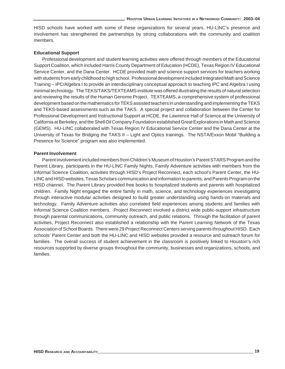HISD schools have worked with some of these organizations for several years, HU-LINC's presence and involvement has strengthened the partnerships by strong collaborations with the community and coalition members.

### **Educational Support**

Professional development and student learning activities were offered through members of the Educational Support Coalition, which included Harris County Department of Education (HCDE), Texas Region IV Educational Service Center, and the Dana Center. HCDE provided math and science support services for teachers working with students from early childhood to high school. Professional development included Integrated Math and Science Training – IPC/Algebra I to provide an interdisciplinary conceptual approach to teaching IPC and Algebra I using minimal technology. The TEKS/TAKS/TEXTEAMS institute was offered illustrating the results of natural selection and reviewing the results of the Human Genome Project. TEXTEAMS, a comprehensive system of professional development based on the mathematics for TEKS assisted teachers in understanding and implementing the TEKS and TEKS-based assessments such as the TAKS. A special project and collaboration between the Center for Professional Development and Instructional Support at HCDE, the Lawrence Hall of Science at the University of California at Berkeley, and the Shell Oil Company Foundation established Great Explorations in Math and Science (GEMS). HU-LINC collaborated with Texas Region IV Educational Service Center and the Dana Center at the University of Texas for Bridging the TAKS II – Light and Optics trainings. The NSTA/Exxon Mobil "Building a Presence for Science" program was also implemented.

### **Parent Involvement**

Parent involvement included members from Children's Museum of Houston's Parent STARS Program and the Parent Library, participants in the HU-LINC Family Nights, Family Adventure activities with members from the Informal Science Coalition, activities through HISD's Project Reconnect, each school's Parent Center, the HU-LINC and HISD websites, Texas Scholars communication and information to parents, and Parents Program on the HISD channel. The Parent Library provided free books to hospitalized students and parents with hospitalized children. Family Night engaged the entire family in math, science, and technology experiences investigating through interactive modular activities designed to build greater understanding using hands-on materials and technology. Family Adventure activities also correlated field experiences among students and families with Informal Science Coalition members. Project Reconnect involved a district wide public-support infrastructure through parental communications, community outreach, and public relations. Through the facilitation of parent activities, Project Reconnect also established a relationship with the Parent Learning Network of the Texas Association of School Boards. There were 29 Project Reconnect Centers serving parents throughout HISD. Each schools' Parent Center and both the HU-LINC and HISD websites provided a resource and outreach forum for families. The overall success of student achievement in the classroom is positively linked to Houston's rich resources supported by diverse groups throughout the community, businesses and organizations, schools, and families.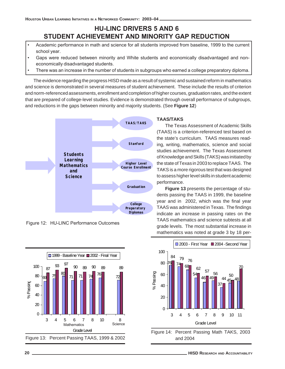# **HU-LINC DRIVERS 5 AND 6 STUDENT ACHIEVEMENT AND MINORITY GAP REDUCTION**

- Academic performance in math and science for all students improved from baseline, 1999 to the current school year.
- Gaps were reduced between minority and White students and economically disadvantaged and noneconomically disadvantaged students.
- There was an increase in the number of students in subgroups who earned a college preparatory diploma.

The evidence regarding the progress HISD made as a result of systemic and sustained reform in mathematics and science is demonstrated in several measures of student achievement. These include the results of criterion and norm-referenced assessments, enrollment and completion of higher courses, graduation rates, and the extent that are prepared of college-level studies. Evidence is demonstrated through overall performance of subgroups, and reductions in the gaps between minority and majority students. (See **Figure 12**)



Figure 12: HU-LINC Performance Outcomes



### **TAAS/TAKS**

The Texas Assessment of Academic Skills (TAAS) is a criterion-referenced test based on the state's curriculum. TAAS measures reading, writing, mathematics, science and social studies achievement. The Texas Assessment of Knowledge and Skills (TAKS) was initiated by the state of Texas in 2003 to replace TAAS. The TAKS is a more rigorous test that was designed to assess higher level skills in student academic performance.

**Figure 13** presents the percentage of students passing the TAAS in 1999, the baseline year and in 2002, which was the final year TAAS was administered in Texas. The findings indicate an increase in passing rates on the TAAS mathematics and science subtests at all grade levels. The most substantial increase in mathematics was noted at grade 3 by 18 per-



Figure 14: Percent Passing Math TAKS, 2003 and 2004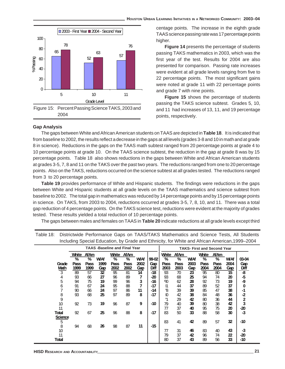

#### **Gap Analysis**

centage points. The increase in the eighth grade TAAS science passing rate was 17 percentage points higher.

**Figure 14** presents the percentage of students passing TAKS mathematics in 2003, which was the first year of the test. Results for 2004 are also presented for comparison. Passing rate increases were evident at all grade levels ranging from five to 22 percentage points. The most significant gains were noted at grade 11 with 22 percentage points and grade 7 with nine points.

**Figure 15** shows the percentage of students passing the TAKS science subtest. Grades 5, 10, and 11 had increases of 13, 11, and 19 percentage points, respectively.

The gaps between White and African American students on TAAS are depicted in **Table 18**. It is indicated that from baseline to 2002, the results reflect a decrease in the gaps at all levels (grades 3-8 and 10 in math and at grade 8 in science). Reductions in the gaps on the TAAS math subtest ranged from 20 percentage points at grade 4 to 10 percentage points at grade 10. On the TAAS science subtest, the reduction in the gap at grade 8 was by 15 percentage points. Table 18 also shows reductions in the gaps between White and African American students at grades 3-5, 7, 8 and 11 on the TAKS over the past two years. The reductions ranged from one to 20 percentage points. Also on the TAKS, reductions occurred on the science subtest at all grades tested. The reductions ranged from 3 to 20 percentage points.

**Table 19** provides performance of White and Hispanic students. The findings were reductions in the gaps between White and Hispanic students at all grade levels on the TAAS mathematics and science subtest from baseline to 2002. The total gap in mathematics was reduced by 14 percentage points and by 15 percentage points in science. On TAKS, from 2003 to 2004, reductions occurred at grades 3-5, 7, 8, 10, and 11. There was a total gap reduction of 4 percentage points. On the TAKS science test, reductions were evident at the majority of grades tested. These results yielded a total reduction of 10 percentage points.

The gaps between males and females on TAAS in **Table 20** indicate reductions at all grade levels except third

| <b>TAAS-Baseline and Final Year</b> |              |              |            |              |              |            |             |              |                 |                 | <b>TAKS- First and Second Year</b> |              |            |             |
|-------------------------------------|--------------|--------------|------------|--------------|--------------|------------|-------------|--------------|-----------------|-----------------|------------------------------------|--------------|------------|-------------|
|                                     | White        | <b>AfAm</b>  |            | White        | AfAm         |            |             | White        | <b>AfAm</b>     |                 | White                              | <b>AfAm</b>  |            |             |
|                                     | %            | %            | <b>WAf</b> | %            | %            | <b>WAf</b> | 99-02       | %            | %               | <b>WAf</b>      | %                                  | ℅            | <b>WAf</b> | 03-04       |
| Grade<br><b>Math</b>                | Pass<br>1999 | Pass<br>1999 | 1999       | Pass<br>2002 | Pass<br>2002 | 2002       | Gap<br>Diff | Pass<br>2003 | Pass<br>2003    | 2003            | Pass<br>2004                       | Pass<br>2004 | 2004       | Gap<br>Diff |
|                                     |              |              | Gap        |              |              | <u>Gap</u> | $-18$       |              |                 | Gap             |                                    |              | Gap        |             |
| $\overline{3}$                      | 89           | 57           | 32         | 95           | 81           | 14         |             | 93           | $\overline{70}$ | $\overline{23}$ | 95                                 | 80           | 15         | -8          |
| 4                                   | 93           | 66           | 27         | 96           | 89           | 7          | -20         | 93           | 68              | 25              | 94                                 | 74           | 20         | -5          |
| 5                                   | 94           | 75           | 19         | 99           | 96           | 3          | -16         | $\infty$     | 62              | 28              | 92                                 | 73           | 19         | -9          |
| 6                                   | 91           | 67           | 24         | 95           | 88           | 7          | -17         | ١1           | 44              | 37              | 89                                 | 52           | 37         | 0           |
|                                     | 90           | 66           | 24         | 97           | 86           | 11         | -14         | 8            | 39              | 39              | 85                                 | 47           | 38         | -1          |
| 8                                   | 93           | 68           | 25         | 97           | 89           | 8          | -17         | Ю            | 42              | 38              | 84                                 | 48           | 36         | -2          |
| 9                                   |              |              |            |              |              |            |             | м            | 29              | 42              | 80                                 | 36           | 44         | 2           |
| 10                                  | 92           | 73           | 19         | 96           | 87           | 9          | -10         | 79           | 40              | 39              | 80                                 | 38           | 42         |             |
| 11                                  |              |              |            |              |              |            |             | 77           | 37              | 40              | 95                                 | 75           | 20         | $-20$       |
| Total                               | 92           | 67           | 25         | 96           | 88           | 8          | $-17$       | 83           | 50              | 33              | 88                                 | 58           | 30         | $-3$        |
| <b>Science</b>                      |              |              |            |              |              |            |             |              |                 |                 |                                    |              |            |             |
| 5                                   |              |              |            |              |              |            |             | 83           | 41              | 42              | 89                                 | 57           | 32         | -10         |
|                                     |              |              |            |              |              | 11         |             |              |                 |                 |                                    |              |            |             |
| 8                                   | 94           | 68           | 26         | 98           | 87           |            | $-15$       |              |                 |                 |                                    |              |            |             |
| 10                                  |              |              |            |              |              |            |             | 77           | 31              | 46              | 83                                 | 40           | 43         | -3          |
| 11                                  |              |              |            |              |              |            |             | 79           | 37              | 42              | 96                                 | 74           | 22         | $-20$       |
| Total                               |              |              |            |              |              |            |             | 80           | 37              | 43              | 89                                 | 56           | 33         | -10         |

Table 18: Districtwide Performance Gaps on TAAS/TAKS Mathematics and Science Tests, All Students Including Special Education, by Grade and Ethnicity, for White and African American,1999–2004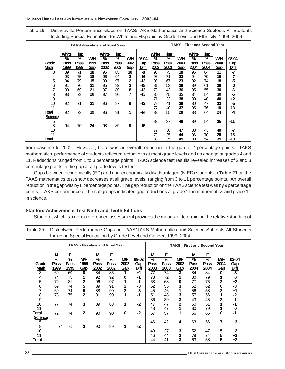Table 19: Districtwide Performance Gaps on TAAS/TAKS Mathematics and Science Subtests All Students Including Special Education, for White and Hispanic by Grade Level and Ethnicity, 1999–2004

|                      |                            |                                                |                   | <b>TAAS-Baseline and Final Year</b> |                           |                   |                      |                            |                                  |                   | <b>TAKS - First and Second Year</b> |                                  |                          |                             |
|----------------------|----------------------------|------------------------------------------------|-------------------|-------------------------------------|---------------------------|-------------------|----------------------|----------------------------|----------------------------------|-------------------|-------------------------------------|----------------------------------|--------------------------|-----------------------------|
| Grade<br><b>Math</b> | White<br>%<br>Pass<br>1999 | <b>Hisp</b><br>$\overline{\%}$<br>Pass<br>1999 | WН<br>1999<br>Gap | White<br>%<br>Pass<br>2002          | Hisp<br>%<br>Pass<br>2002 | WН<br>2002<br>Gap | 03-04<br>Gap<br>Diff | White<br>%<br>Pass<br>2003 | <b>Hisp</b><br>%<br>Pass<br>2003 | WН<br>2003<br>Gap | White<br>%<br>Pass<br>2004          | <b>Hisp</b><br>%<br>Pass<br>2004 | <b>WH</b><br>2004<br>Gap | 03-04<br>Gap<br><u>Diff</u> |
| 3                    | 89                         | 71                                             | 18                | 95                                  | 85                        | 10                | -8                   | 93                         | 75                               | 18                | 95                                  | 84                               | 11                       | $-7$                        |
| 4                    | 93                         | 75                                             | 18                | 96                                  | 94                        | 2                 | -16                  | 93                         | 71                               | 22                | 94                                  | 79                               | 15                       | -7                          |
| 5                    | 94                         | 79                                             | 15                | 99                                  | 97                        | 2                 | -13                  | 90                         | 67                               | 23                | 92                                  | 74                               | 18                       | -5                          |
| 6                    | 91                         | 70                                             | 21                | 95                                  | 92                        | 3                 | -18                  | 81                         | 53                               | 28                | 89                                  | 61                               | 28                       | 0                           |
| 7                    | 90                         | 69                                             | 21                | 97                                  | 89                        | 8                 | -13                  | 78                         | 42                               | 36                | 85                                  | 55                               | 30                       | -6                          |
| 8                    | 93                         | 73                                             | 20                | 97                                  | 90                        | 7                 | $-13$                | 80                         | 45                               | 35                | 84                                  | 54                               | 30                       | $-5$                        |
| 9                    |                            |                                                |                   |                                     |                           |                   |                      | 71                         | 33                               | 38                | 80                                  | 40                               | 40                       | $+2$                        |
| 10                   | 92                         | 71                                             | 21                | 96                                  | 87                        | 9                 | $-12$                | 79                         | 41                               | 38                | 80                                  | 47                               | 33                       | -5                          |
| 11                   |                            |                                                |                   |                                     |                           |                   |                      | 77                         | 40                               | 37                | 95                                  | 76                               | 19                       | $-18$                       |
| Total                | 92                         | 73                                             | 19                | 96                                  | 91                        | 5                 | $-14$                | 83                         | 55                               | 28                | 88                                  | 64                               | 24                       | -4                          |
| <b>Science</b><br>5  |                            |                                                |                   |                                     |                           |                   |                      | 83                         | 37                               | 46                | 89                                  | 54                               | 35                       | -11                         |
| 8                    | 94                         | 70                                             | 24                | 98                                  | 89                        | 9                 | $-15$                |                            |                                  |                   |                                     |                                  |                          |                             |
| 10                   |                            |                                                |                   |                                     |                           |                   |                      | 77                         | 30                               | 47                | 83                                  | 43                               | 40                       | -7                          |
| 11                   |                            |                                                |                   |                                     |                           |                   |                      | 79                         | 35                               | 44                | 96                                  | 70                               | 26                       | -18                         |
| Total                |                            |                                                |                   |                                     |                           |                   |                      | 80                         | 35                               | 45                | 89                                  | 54                               | 35                       | $-10$                       |

from baseline to 2002. However, there was an overall reduction in the gap of 2 percentage points. TAKS mathematics performance of students reflected reductions at most grade levels and no change at grades 4 and 11. Reductions ranged from 1 to 3 percentage points. TAKS science test results revealed increases of 2 and 3 percentage points in the gap at all grade levels tested.

Gaps between economically (ED) and non-economically disadvantaged (N-ED) students in **Table 21** on the TAAS mathematics test show decreases at all grade levels, ranging from 3 to 11 percentage points. An overall reduction in the gap was by 8 percentage points. The gap reduction on the TAAS science test was by 9 percentage points. TAKS performance of the subgroups indicated gap reductions at grade 11 in mathematics and grade 11 in science.

### **Stanford Achievement Test-Ninth and Tenth Editions**

Stanford, which is a norm-referenced assessment provides the means of determining the relative standing of

| Table 20: Districtwide Performance Gaps on TAAS/TAKS Mathematics and Science Subtests All Students |
|----------------------------------------------------------------------------------------------------|
| Including Special Education by Grade Level and Gender, 1999–2004                                   |

|                |                                       |                              |                | <b>TAAS - Baseline and Final Year</b> |                              |                    |              |                            |                              |                    | <b>TAKS - First and Second Year</b> |                |                    |                          |
|----------------|---------------------------------------|------------------------------|----------------|---------------------------------------|------------------------------|--------------------|--------------|----------------------------|------------------------------|--------------------|-------------------------------------|----------------|--------------------|--------------------------|
| Grade          | M<br>$\overline{\frac{9}{6}}$<br>Pass | F<br>$\overline{\%}$<br>Pass | МF<br>1999     | M<br>$\frac{9}{6}$<br>Pass            | F<br>$\overline{\%}$<br>Pass | <b>M/F</b><br>2002 | 99-02<br>Gap | М<br>$\frac{9}{6}$<br>Pass | F<br>$\overline{\%}$<br>Pass | <b>M/F</b><br>2003 | M<br>$\overline{\%}$<br>Pass        | F<br>ळ<br>Pass | <b>M/F</b><br>2004 | 03-04<br>Gap             |
| <b>Math</b>    | 1999                                  | 1999                         | Gap            | 2002                                  | 2002                         | Gap                | <u>Diff</u>  | 2003                       | 2003                         | Gap                | 2004                                | 2004           | Gap                |                          |
| 3              | 69                                    | 69                           | $\bf{0}$       | 84                                    | 85                           |                    | $+1$         | 77                         | 74                           | 3                  | 84                                  | 84             | ŋ                  | $\frac{\text{Diff}}{-3}$ |
| 4              | 74                                    | 75                           |                | 92                                    | 92                           | 0                  | -1           | 73                         | 72                           |                    | 80                                  | 79             |                    | $\bf{0}$                 |
| 5              | 79                                    | 81                           | 2              | 96                                    | 97                           |                    | -1           | 68                         | 68                           | 0                  | 77                                  | 75             | 2                  | $+2$                     |
| 6              | 69                                    | 74                           | 5              | 89                                    | 91                           | $\mathbf{2}$       | -3           | 52                         | 55                           | 3                  | 62                                  | 62             | $\bf{0}$           | -3                       |
| 7              | 69                                    | 74                           | 5              | 88                                    | 90                           | $\overline{2}$     | -3           | 45                         | 46                           |                    | 56                                  | 58             | 2                  | +1                       |
| 8              | 73                                    | 75                           | $\overline{2}$ | 91                                    | 90                           |                    | -1           | 51                         | 48                           | 3                  | 57                                  | 56             |                    | $-2$                     |
| 9              |                                       |                              |                |                                       |                              |                    |              | 36                         | 39                           | 3                  | 43                                  | 45             | 2                  | -1                       |
| 10             | 77                                    | 74                           | 3              | 89                                    | 88                           | 1                  | $-2$         | 47                         | 47                           | 2                  | 50                                  | 51             |                    | -1                       |
| 11             |                                       |                              |                |                                       |                              |                    |              | 48                         | 47                           | 1                  | 80                                  | 79             |                    | 0                        |
| Total          | 72                                    | 74                           | $\mathbf{2}$   | 90                                    | 90                           | 0                  | -2           | 57                         | 57                           | 1                  | 66                                  | 66             | $\bf{0}$           | -1                       |
| <b>Science</b> |                                       |                              |                |                                       |                              |                    |              |                            |                              |                    |                                     |                |                    |                          |
| 5              |                                       |                              |                |                                       |                              |                    |              | 46                         | 42                           | 4                  | 63                                  | 56             | $\overline{7}$     | $+3$                     |
| 8              | 74                                    | 71                           | 3              | 90                                    | 89                           | 1                  | $-2$         |                            |                              |                    |                                     |                |                    |                          |
| 10             |                                       |                              |                |                                       |                              |                    |              | 40                         | 37                           | 3                  | 52                                  | 47             | 5                  | $+2$                     |
| 11             |                                       |                              |                |                                       |                              |                    |              | 46                         | 44                           | 2                  | 79                                  | 74             | 5                  | $+3$                     |
| Total          |                                       |                              |                |                                       |                              |                    |              | 44                         | 41                           | 3                  | 63                                  | 58             | 5                  | $+2$                     |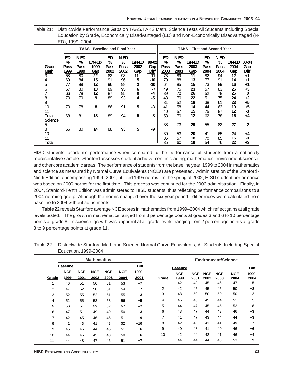| Table 21: Districtwide Performance Gaps on TAAS/TAKS Math, Science Tests All Students Including Special |
|---------------------------------------------------------------------------------------------------------|
| Education by Grade, Economically Disadvantaged (ED) and Non-Economically Disadvantaged (N-              |
| ED). 1999–2004                                                                                          |

|                          |                         |                                                    | <b>TAAS - Baseline and Final Year</b> |                            |                           |                              |                      |                            |                                              | <b>TAKS - First and Second Year</b> |                            |                              |                              |                             |
|--------------------------|-------------------------|----------------------------------------------------|---------------------------------------|----------------------------|---------------------------|------------------------------|----------------------|----------------------------|----------------------------------------------|-------------------------------------|----------------------------|------------------------------|------------------------------|-----------------------------|
| Grade<br>Math            | ED<br>%<br>Pass<br>1999 | N-ED<br>$\overline{\mathcal{U}}_0$<br>Pass<br>1999 | <b>E/N-ED</b><br>1999<br>Gap          | ED<br>$\%$<br>Pass<br>2002 | N-ED<br>%<br>Pass<br>2002 | <b>E/N-ED</b><br>2002<br>Gap | 99-02<br>Gap<br>Diff | ED<br>$\%$<br>Pass<br>2003 | <b>N-ED</b><br>$\frac{0}{0}$<br>Pass<br>2003 | <b>E/N-ED</b><br>2003<br>Gap        | ED<br>$\%$<br>Pass<br>2004 | N-ED<br>$\%$<br>Pass<br>2004 | <b>E/N-ED</b><br>2004<br>Gap | 03-04<br>Gap<br><u>Diff</u> |
| 3                        | 58                      | 80                                                 | 22                                    | 82                         | 93                        | 11                           | $-11$                | 73                         | 89                                           | 11                                  | 82                         | 94                           | 12                           | $+1$                        |
| 4                        | 69                      | 84                                                 | 15                                    | 91                         | 96                        | 5                            | -10                  | 70                         | 88                                           | 13                                  | 77                         | 91                           | 14                           | +1                          |
| 5                        | 77                      | 89                                                 | 12                                    | 96                         | 98                        | 2                            | -10                  | 64                         | 85                                           | 15                                  | 73                         | 89                           | 16                           | +1                          |
| 6                        | 67                      | 80                                                 | 13                                    | 89                         | 95                        | 6                            | -7                   | 49                         | 75                                           | 23                                  | 57                         | 83                           | 26                           | +3                          |
|                          | 66                      | 78                                                 | 12                                    | 87                         | 95                        | 8                            | -4                   | 39                         | 70                                           | 26                                  | 52                         | 78                           | 26                           | 0                           |
| 8                        | 70                      | 79                                                 | 9                                     | 89                         | 93                        | 4                            | $-5$                 | 43                         | 70                                           | 22                                  | 51                         | 75                           | 24                           | +2                          |
| 9                        |                         |                                                    |                                       |                            |                           |                              |                      | 31                         | 52                                           | 18                                  | 38                         | 61                           | 23                           | +5                          |
| 10                       | 70                      | 78                                                 | 8                                     | 86                         | 91                        | 5                            | $-3$                 | 41                         | 58                                           | 14                                  | 44                         | 63                           | 19                           | +5                          |
| 11                       |                         |                                                    |                                       |                            |                           |                              |                      | 40                         | 57                                           | 15                                  | 75                         | 87                           | 12                           | -3                          |
| Total                    | 68                      | 81                                                 | 13                                    | 89                         | 94                        | 5                            | -8                   | 53                         | 70                                           | 12                                  | 62                         | 78                           | 16                           | +4                          |
| <b>Science</b><br>5<br>8 | 66                      | 80                                                 | 14                                    | 88                         | 93                        | 5                            | -9                   | 38                         | 73                                           | 29                                  | 55                         | 82                           | 27                           | $-2$                        |
| 10                       |                         |                                                    |                                       |                            |                           |                              |                      | 30                         | 53                                           | 20                                  | 41                         | 65                           | 24                           |                             |
| 11                       |                         |                                                    |                                       |                            |                           |                              |                      | 35                         | 57                                           | 18                                  | 70                         | 85                           | 15                           | +4<br>-3                    |
| Total                    |                         |                                                    |                                       |                            |                           |                              |                      | 35                         | 60                                           | 19                                  | 54                         | 76                           | 22                           | +3                          |
|                          |                         |                                                    |                                       |                            |                           |                              |                      |                            |                                              |                                     |                            |                              |                              |                             |

HISD students' academic performance when compared to the performance of students from a nationally representative sample. Stanford assesses student achievement in reading, mathematics, environment/science, and other core academic areas. The performance of students from the baseline year, 1999 to 2004 in mathematics and science as measured by Normal Curve Equivalents (NCEs) are presented. Administration of the Stanford - Ninth Edition, encompassing 1999–2001, utilized 1995 norms. In the spring of 2002, HISD student performance was based on 2000 norms for the first time. This process was continued for the 2003 administration. Finally, in 2004, Stanford-Tenth Edition was administered to HISD students, thus reflecting performance comparisons to a 2004 norming group. Although the norms changed over the six year period, differences were calculated from baseline to 2004 without adjustments.

**Table 22** reveals Stanford average NCE scores in mathematics from 1999–2004 which reflect gains at all grade levels tested. The growth in mathematics ranged from 3 percentage points at grades 3 and 6 to 10 percentage points at grade 8. In science, growth was apparent at all grade levels, ranging from 2 percentage points at grade 3 to 9 percentage points at grade 11.

|       |                    |                    | <b>Mathematics</b> |                    |                    |               |                |                    |                    |                    | <b>Environment/Science</b> |                    |               |
|-------|--------------------|--------------------|--------------------|--------------------|--------------------|---------------|----------------|--------------------|--------------------|--------------------|----------------------------|--------------------|---------------|
|       | <b>Baseline</b>    |                    |                    |                    |                    | <b>Diff</b>   |                | <b>Baseline</b>    |                    |                    |                            |                    | <b>Diff</b>   |
| Grade | <b>NCE</b><br>1999 | <b>NCE</b><br>2001 | <b>NCE</b><br>2002 | <b>NCE</b><br>2003 | <b>NCE</b><br>2004 | 1999-<br>2004 | Grade          | <b>NCE</b><br>1999 | <b>NCE</b><br>2001 | <b>NCE</b><br>2002 | <b>NCE</b><br>2003         | <b>NCE</b><br>2004 | 1999-<br>2004 |
|       | 46                 | 51                 | 50                 | 51                 | 53                 | $+7$          |                | 42                 | 48                 | 45                 | 46                         | 47                 | $+5$          |
| 2     | 47                 | 52                 | 50                 | 51                 | 54                 | $+7$          | $\overline{2}$ | 42                 | 45                 | 45                 | 45                         | 50                 | $+8$          |
| 3     | 52                 | 55                 | 52                 | 51                 | 55                 | $+3$          | 3              | 48                 | 50                 | 50                 | 50                         | 50                 | $+2$          |
| 4     | 51                 | 55                 | 53                 | 53                 | 56                 | $+5$          | 4              | 46                 | 48                 | 45                 | 44                         | 51                 | $+5$          |
| 5     | 50                 | 54                 | 53                 | 52                 | 57                 | $+7$          | 5              | 44                 | 47                 | 45                 | 45                         | 52                 | $+8$          |
| 6     | 47                 | 51                 | 49                 | 49                 | 50                 | $+3$          | 6              | 43                 | 47                 | 44                 | 43                         | 46                 | $+3$          |
| 7     | 42                 | 45                 | 46                 | 46                 | 51                 | $+9$          | 7              | 41                 | 47                 | 43                 | 44                         | 44                 | $+3$          |
| 8     | 42                 | 43                 | 41                 | 43                 | 52                 | $+10$         | 8              | 42                 | 46                 | 41                 | 41                         | 49                 | $+7$          |
| 9     | 45                 | 46                 | 44                 | 45                 | 51                 | $+6$          | 9              | 40                 | 43                 | 41                 | 40                         | 46                 | $+6$          |
| 10    | 44                 | 46                 | 45                 | 43                 | 50                 | $+6$          | 10             | 42                 | 44                 | 42                 | 41                         | 46                 | $+4$          |
| 11    | 44                 | 48                 | 47                 | 46                 | 51                 | $+7$          | 11             | 44                 | 44                 | 44                 | 43                         | 53                 | $+9$          |

Table 22: Districtwide Stanford Math and Science Normal Curve Equivalents, All Students Including Special Education, 1999-2004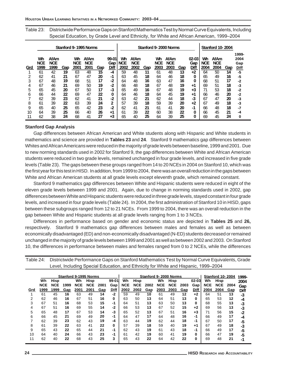Table 23: Districtwide Performance Gaps on Stanford Mathematics Test by Normal Curve Equivalents, Including Special Education, by Grade Level and Ethnicity, for White and African American, 1999–2004

|     |                          |                                   |     |                          | Stanford 9-1995 Norms             |     |                      |                          |                                   |     |                          | Stanford 9-2000 Norms             |     |                          |                          | <b>Stanford 10-2004</b>           |     |                              |
|-----|--------------------------|-----------------------------------|-----|--------------------------|-----------------------------------|-----|----------------------|--------------------------|-----------------------------------|-----|--------------------------|-----------------------------------|-----|--------------------------|--------------------------|-----------------------------------|-----|------------------------------|
| Grd | Wh<br><b>NCE</b><br>1999 | <b>AfAm</b><br><b>NCE</b><br>1999 | Gap | Wh<br><b>NCE</b><br>2001 | <b>AfAm</b><br><b>NCE</b><br>2001 | Gap | 99-01<br>Gap<br>Diff | Wh<br><b>NCE</b><br>2002 | <b>AfAm</b><br><b>NCE</b><br>2002 | Gap | Wh<br><b>NCE</b><br>2003 | <b>AfAm</b><br><b>NCE</b><br>2003 | Gap | $02 - 03$<br>Gap<br>Diff | Wh<br><b>NCE</b><br>2004 | <b>AfAm</b><br><b>NCE</b><br>2004 | Gap | 1999-<br>2004<br>Gap<br>Diff |
|     | 61                       | 42                                | 19  | 63                       | 48                                | 15  | -4                   | 59                       | 48                                | 11  | 61                       | 48                                | 13  | $+2$                     | 64                       | 50                                | 14  | -5                           |
|     | 62                       | 41                                | 21  | 67                       | 47                                | 20  | -1                   | 63                       | 45                                | 18  | 64                       | 46                                | 18  | 0                        | 65                       | 49                                | 16  | -5                           |
| 3   | 67                       | 48                                | 19  | 68                       | 51                                | 17  | $-2$                 | 64                       | 48                                | 16  | 63                       | 47                                | 16  | 0                        | 68                       | 51                                | 17  | -2                           |
|     | 67                       | 46                                | 21  | 69                       | 50                                | 19  | $-2$                 | 66                       | 48                                | 18  | 67                       | 48                                | 19  | +1                       | 69                       | 51                                | 18  | -3                           |
| 5   | 65                       | 45                                | 20  | 67                       | 50                                | 17  | -3                   | 65                       | 49                                | 16  | 67                       | 48                                | 19  | +3                       | 71                       | 53                                | 18  | $-2$                         |
| 6   | 66                       | 44                                | 22  | 69                       | 47                                | 22  | 0                    | 64                       | 46                                | 18  | 64                       | 45                                | 19  | +1                       | 66                       | 46                                | 20  | $-2$                         |
|     | 62                       | 39                                | 23  | 62                       | 41                                | 21  | -2                   | 63                       | 42                                | 21  | 62                       | 44                                | 18  | -3                       | 67                       | 47                                | 20  | -3                           |
| 8   | 61                       | 39                                | 22  | 63                       | 39                                | 24  | $\mathbf{2}$         | 57                       | 39                                | 18  | 59                       | 39                                | 20  | $+2$                     | 67                       | 49                                | 18  | -3                           |
| 9   | 65                       | 40                                | 25  | 65                       | 42                                | 23  | $-2$                 | 62                       | 41                                | 21  | 61                       | 41                                | 20  | -1                       | 66                       | 48                                | 18  | -7                           |
| 10  | 64                       | 39                                | 25  | 66                       | 40                                | 26  | +1                   | 61                       | 39                                | 22  | 60                       | 38                                | 22  | 0                        | 66                       | 45                                | 21  | -4                           |
|     | 62                       | 38                                | 24  | 68                       | 41                                | 27  | +3                   | 65                       | 40                                | 25  | 64                       | 39                                | 25  | 0                        | 69                       | 45                                | 24  | 0                            |

#### **Stanford Gap Analysis**

Gap differences between African American and White students along with Hispanic and White students in mathematics and science are provided in **Tables 23** and **24**. Stanford 9 mathematics gap differences between Whites and African Americans were reduced in the majority of grade levels between baseline, 1999 and 2001. Due to new norming standards used in 2002 for Stanford 9, the gap differences between White and African American students were reduced in two grade levels, remained unchanged in four grade levels, and increased in five grade levels (Table 23). The gaps between these groups ranged from 14 to 20 NCEs in 2004 on Stanford 10, which was the first year for this test in HISD. In addition, from 1999 to 2004, there was an overall reduction in the gaps between White and African American students at all grade levels except eleventh grade, which remained constant.

Stanford 9 mathematics gap differences between White and Hispanic students were reduced in eight of the eleven grade levels between 1999 and 2001. Again, due to change in norming standards used in 2002, gap differences between White and Hispanic students were reduced in three grade levels, stayed constant in four grade levels, and increased in four grade levels (Table 24). In 2004, the first administration of Stanford 10 in HISD, gaps between these subgroups ranged from 12 to 21 NCEs. From 1999 to 2004, there was an overall reduction in the gap between White and Hispanic students at all grade levels ranging from 1 to 3 NCEs.

Differences in performance based on gender and economic status are depicted in **Tables 25** and **26,** respectively. Stanford 9 mathematics gap differences between males and females as well as between economically disadvantaged (ED) and non-economically disadvantaged (N-ED) students decreased or remained unchanged in the majority of grade levels between 1999 and 2001 as well as between 2002 and 2003. On Stanford 10, the differences in performance between males and females ranged from 0 to 2 NCEs, while the differences

| Table 24: |            |            |      |                                    |            |      |           |                                                                                     |            |      |            |                               |      |           |            |                                 |      | Districtwide Performance Gaps on Stanford Mathematics Test by Normal Curve Equivalents, Grade |
|-----------|------------|------------|------|------------------------------------|------------|------|-----------|-------------------------------------------------------------------------------------|------------|------|------------|-------------------------------|------|-----------|------------|---------------------------------|------|-----------------------------------------------------------------------------------------------|
|           |            |            |      |                                    |            |      |           | Level, Including Special Education, and Ethnicity for White and Hispanic, 1999–2004 |            |      |            |                               |      |           |            |                                 |      |                                                                                               |
|           |            |            |      |                                    |            |      |           |                                                                                     |            |      |            |                               |      |           |            |                                 |      |                                                                                               |
|           | Wh         | Hisp       |      | <b>Stanford 9-1995 Norms</b><br>Wh | Hisp       |      | $99 - 01$ | Wh                                                                                  | Hisp       |      | Wh         | Stanford 9-2000 Norms<br>Hisp |      | $02 - 03$ | Wh         | <b>Stanford 10-2004</b><br>Hisp |      | 1999-<br>2004                                                                                 |
|           | <b>NCE</b> | <b>NCE</b> | 1999 | <b>NCE</b>                         | <b>NCE</b> | 2001 | Gap       | <b>NCE</b>                                                                          | <b>NCE</b> | 2002 | <b>NCE</b> | <b>NCE</b>                    | 2003 | Gap       | <b>NCE</b> | <b>NCE</b>                      | 2004 | Gap                                                                                           |
| Grd       | 1999       | 1999       | Gap  | 2001                               | 2001       | Gap  | Diff      | 2002                                                                                | 2002       | Gap  | 2003       | 2003                          | Gap  | Diff      | 2004       | 2004                            | Gap  | <b>Diff</b>                                                                                   |
|           | 61         | 45         | 16   | 63                                 | 49         | 14   | $-2$      | 59                                                                                  | 49         | 10   | 61         | 49                            | 12   | $+2$      | 64         | 51                              | 13   | -3                                                                                            |
| 2         | 62         | 46         | 16   | 67                                 | 51         | 16   | 0         | 63                                                                                  | 50         | 13   | 64         | 51                            | 13   | 0         | 65         | 53                              | 12   | -4                                                                                            |
|           | 67         | 51         | 16   | 68                                 | 53         | 15   | -1        | 64                                                                                  | 51         | 13   | 63         | 50                            | 13   | 0         | 68         | 55                              | 13   | -3                                                                                            |
| 4         | 67         | 51         | 16   | 69                                 | 55         | 14   | -2        | 66                                                                                  | 53         | 13   | 67         | 52                            | 15   | $+2$      | 69         | 56                              | 13   | -3                                                                                            |
| 5         | 65         | 48         | 17   | 67                                 | 53         | 14   | -3        | 65                                                                                  | 52         | 13   | 67         | 51                            | 16   | $+3$      | 71         | 56                              | 15   | -2                                                                                            |
| 6         | 66         | 45         | 21   | 69                                 | 49         | 20   | -1        | 64                                                                                  | 47         | 17   | 64         | 48                            | 16   | -1        | 66         | 49                              | 17   | -4                                                                                            |
|           | 62         | 39         | 23   | 62                                 | 43         | 19   | -4        | 63                                                                                  | 44         | 19   | 62         | 44                            | 18   | -1        | 67         | 50                              | 17   | -5                                                                                            |
| 8         | 61         | 39         | 22   | 63                                 | 41         | 22   | 0         | 57                                                                                  | 39         | 18   | 59         | 40                            | 19   | +1        | 67         | 49                              | 18   | -3                                                                                            |
| 9         | 65         | 43         | 22   | 65                                 | 44         | 21   | -1        | 62                                                                                  | 43         | 19   | 61         | 43                            | 18   | -1        | 66         | 49                              | 17   | -5                                                                                            |
| 10        | 64         | 40         | 24   | 66                                 | 43         | 23   | -1        | 61                                                                                  | 42         | 19   | 60         | 41                            | 19   | 0         | 66         | 47                              | 19   | -5                                                                                            |
| 11        | 62         | 40         | 22   | 68                                 | 43         | 25   | 3         | 65                                                                                  | 43         | 22   | 64         | 42                            | 22   | 0         | 69         | 48                              | 21   | -1                                                                                            |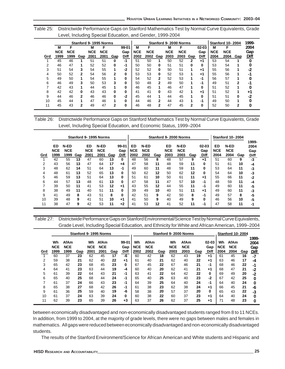| Table 25: Districtwide Performance Gaps on Stanford Mathematics Test by Normal Curve Equivalents, Grade |
|---------------------------------------------------------------------------------------------------------|
| Level, Including Special Education, and Gender, 1999-2004                                               |

|     |            |            |     |            | Stanford 9-1995 Norms |                |           |            |            |              |            | Stanford 9-2000 Norms |     |             |            | <b>Stanford 10-2004</b> |     | 1999-       |
|-----|------------|------------|-----|------------|-----------------------|----------------|-----------|------------|------------|--------------|------------|-----------------------|-----|-------------|------------|-------------------------|-----|-------------|
|     | M          | F          |     | М          | F                     |                | $99 - 01$ | M          | F          |              | M          | F                     |     | $02 - 03$   | м          | F                       |     | 2004        |
|     | <b>NCE</b> | <b>NCE</b> |     | <b>NCE</b> | <b>NCE</b>            |                | Gap       | <b>NCE</b> | <b>NCE</b> |              | <b>NCE</b> | <b>NCE</b>            |     | Gap         | <b>NCE</b> | <b>NCE</b>              |     | Gap         |
| Grd | 1999       | 1999       | Gap | 2001       | 2001                  | Gap            | Diff      | 2002       | 2002       | Gap          | 2003       | 2003                  | Gap | <b>Diff</b> | 2004       | 2004                    | Gap | <b>Diff</b> |
|     | 45         | 46         |     | 51         | 51                    | 0              | $-1$      | 51         | 50         |              | 50         | 52                    | 2   | +1          | 53         | 54                      |     | 0           |
| 2   | 46         | 47         |     | 52         | 52                    | 0              | -1        | 50         | 50         | 0            | 51         | 51                    | 0   | $\Omega$    | 53         | 54                      |     | 0           |
| 3   | 51         | 54         | 3   | 54         | 55                    | 1              | $-2$      | 52         | 52         | 0            | 50         | 51                    | 1   | $+1$        | 55         | 56                      |     | -2          |
| 4   | 50         | 52         |     | 54         | 56                    | $\mathbf{2}$   | 0         | 53         | 53         | 0            | 52         | 53                    |     | $+1$        | 55         | 56                      | л   | -1          |
| 5   | 49         | 50         |     | 54         | 55                    |                | 0         | 54         | 52         | $\mathbf{2}$ | 52         | 53                    | 1   | -1          | 56         | 57                      |     | 0           |
| 6   | 46         | 49         |     | 50         | 53                    | 3              | 0         | 50         | 48         | 2            | 49         | 50                    | 1   | -1          | 49         | 51                      | 2   | -2          |
|     | 42         | 43         |     | 44         | 45                    |                | 0         | 46         | 45         |              | 46         | 47                    |     | $\Omega$    | 51         | 52                      |     | 0           |
| 8   | 42         | 42         | 0   | 43         | 43                    | 0              | 0         | 41         | 41         | 0            | 43         | 42                    |     | $+1$        | 51         | 52                      |     | +1          |
| 9   | 44         | 46         | 2   | 46         | 46                    | 0              | $-2$      | 45         | 44         |              | 44         | 45                    |     | 0           | 51         | 51                      | 0   | -2          |
| 10  | 45         | 44         |     | 47         | 46                    | 1              | 0         | 44         | 46         | 2            | 44         | 43                    | 1   | -1          | 49         | 50                      | 4   |             |
| 11  | 45         | 43         | 2   | 49         | 47                    | $\overline{2}$ | 0         | 46         | 48         | 2            | 47         | 45                    | 2   | 0           | 52         | 50                      | 2   | 0           |

Table 26: Districtwide Performance Gaps on Stanford Mathematics Test by Normal Curve Equivalents, Grade Level, Including Special Education, and Economic Status, 1999–2004

|     |                          |                            |     |                          | Stanford 9-1995 Norms      |     |                          |                          |                            |     |                           | Stanford 9-2000 Norms      |     |                          |                          | <b>Stanford 10-2004</b>    |     |                              |
|-----|--------------------------|----------------------------|-----|--------------------------|----------------------------|-----|--------------------------|--------------------------|----------------------------|-----|---------------------------|----------------------------|-----|--------------------------|--------------------------|----------------------------|-----|------------------------------|
| Grd | ED<br><b>NCE</b><br>1999 | N-ED<br><b>NCE</b><br>1999 | Gap | ED<br><b>NCE</b><br>2001 | N-ED<br><b>NCE</b><br>2001 | Gap | $99 - 01$<br>Gap<br>Diff | ED<br><b>NCE</b><br>2002 | N-ED<br><b>NCE</b><br>2002 | Gap | ED.<br><b>NCE</b><br>2003 | N-ED<br><b>NCE</b><br>2003 | Gap | $02 - 03$<br>Gap<br>Diff | ED<br><b>NCE</b><br>2004 | N-ED<br><b>NCE</b><br>2004 | Gap | 1999-<br>2004<br>Gap<br>Diff |
|     | 42                       | 55                         | 13  | 47                       | 60                         | 13  | 0                        | 48                       | 56                         | 8   | 48                        | 57                         | 9   | $+1$                     | 51                       | 60                         | 9   | $-3$                         |
| 2   | 43                       | 56                         | 13  | 47                       | 64                         | 17  | $+4$                     | 47                       | 58                         | 11  | 48                        | 59                         | 11  | 0                        | 51                       | 61                         | 10  | -4                           |
| 3   | 48                       | 62                         | 14  | 51                       | 64                         | 13  | $-1$                     | 49                       | 60                         | 11  | 48                        | 59                         | 11  | 0                        | 53                       | 64                         | 11  | -3                           |
| 4   | 48                       | 61                         | 13  | 52                       | 65                         | 13  | 0                        | 50                       | 62                         | 12  | 50                        | 62                         | 12  | 0                        | 54                       | 64                         | 10  | -3                           |
| 5   | 46                       | 59                         | 13  | 51                       | 64                         | 13  | 0                        | 51                       | 61                         | 10  | 50                        | 61                         | 11  | +1                       | 55                       | 66                         | 11  | $-2$                         |
| 6   | 44                       | 57                         | 13  | 48                       | 61                         | 13  | 0                        | 47                       | 58                         | 11  | 47                        | 57                         | 10  | -1                       | 48                       | 59                         | 11  | -4                           |
|     | 39                       | 50                         | 11  | 41                       | 53                         | 12  | +1                       | 43                       | 55                         | 12  | 44                        | 55                         | 11  | -1                       | 49                       | 60                         | 11  | -5                           |
| 8   | 38                       | 49                         | 11  | 40                       | 51                         | 11  | 0                        | 39                       | 49                         | 10  | 40                        | 51                         | 11  | +1                       | 49                       | 60                         | 11  | -3                           |
| 9   | 41                       | 49                         | 8   | 43                       | 51                         | 8   | 0                        | 42                       | 51                         | 9   | 42                        | 50                         | 8   | -1                       | 49                       | 57                         | 8   | -5                           |
| 10  | 39                       | 48                         | 9   | 41                       | 51                         | 10  | $+1$                     | 41                       | 50                         | 9   | 40                        | 49                         | 9   | 0                        | 46                       | 56                         | 10  | -5                           |
| 11  | 38                       | 47                         | 9   | 42                       | 53                         | 11  | $+2$                     | 41                       | 53                         | 12  | 41                        | 52                         | 11  | -1                       | 47                       | 58                         | 11  | -1                           |

Table 27: Districtwide Performance Gaps on Stanford Environmental/Science Test by Normal Curve Equivalents, Grade Level, Including Special Education, and Ethnicity for White and African American, 1999–2004

|     |                          |                            |     |                          | Stanford 9-1995 Norms             |     |                                 |                          |                                   |     |                          | Stanford 9-2000 Norms      |     |                          |                          | <b>Stanford 10-2004</b>    |     |                                     |
|-----|--------------------------|----------------------------|-----|--------------------------|-----------------------------------|-----|---------------------------------|--------------------------|-----------------------------------|-----|--------------------------|----------------------------|-----|--------------------------|--------------------------|----------------------------|-----|-------------------------------------|
| Grd | Wh<br><b>NCE</b><br>1999 | AfAm<br><b>NCE</b><br>1999 | Gap | Wh<br><b>NCE</b><br>2001 | <b>AfAm</b><br><b>NCE</b><br>2001 | Gap | $99 - 01$<br>Gap<br><b>Diff</b> | Wh<br><b>NCE</b><br>2002 | <b>AfAm</b><br><b>NCE</b><br>2002 | Gap | Wh<br><b>NCE</b><br>2003 | AfAm<br><b>NCE</b><br>2003 | Gap | $02 - 03$<br>Gap<br>Diff | Wh<br><b>NCE</b><br>2004 | AfAm<br><b>NCE</b><br>2004 | Gap | 1999-<br>2004<br>Gap<br><b>Diff</b> |
|     | 60                       | 37                         | 23  | 62                       | 45                                | 17  | -6                              | 60                       | 42                                | 18  | 62                       | 43                         | 19  | $+1$                     | 61                       | 45                         | 16  | -7                                  |
| 2   | 59                       | 38                         | 21  | 62                       | 40                                | 22  | +1                              | 61                       | 40                                | 21  | 62                       | 40                         | 22  | $+1$                     | 63                       | 46                         | 17  | -4                                  |
| 3   | 65                       | 42                         | 23  | 68                       | 45                                | 23  | 0                               | 67                       | 45                                | 22  | 67                       | 46                         | 21  | $-1$                     | 68                       | 46                         | 22  | -1                                  |
| 4   | 64                       | 41                         | 23  | 63                       | 44                                | 19  | -4                              | 60                       | 40                                | 20  | 62                       | 41                         | 21  | $+1$                     | 68                       | 47                         | 21  | -2                                  |
| 5   | 61                       | 39                         | 22  | 64                       | 43                                | 21  | -1                              | 63                       | 41                                | 22  | 64                       | 42                         | 22  | 0                        | 69                       | 49                         | 20  | -2                                  |
| 6   | 65                       | 40                         | 25  | 68                       | 44                                | 24  | -1                              | 65                       | 40                                | 25  | 63                       | 40                         | 23  | $-2$                     | 67                       | 42                         | 25  |                                     |
|     | 61                       | 37                         | 24  | 66                       | 43                                | 23  | -1                              | 64                       | 39                                | 25  | 64                       | 40                         | 24  | -1                       | 64                       | 40                         | 24  | Ω                                   |
| 8   | 65                       | 38                         | 27  | 68                       | 42                                | 26  | -1                              | 61                       | 38                                | 23  | 62                       | 38                         | 24  | $+1$                     | 66                       | 45                         | 21  | -6                                  |
| 9   | 61                       | 36                         | 25  | 59                       | 40                                | 19  | -6                              | 58                       | 38                                | 20  | 57                       | 37                         | 20  | $\Omega$                 | 65                       | 43                         | 22  | -3                                  |
| 10  | 61                       | 37                         | 24  | 63                       | 39                                | 24  | 0                               | 60                       | 38                                | 22  | 60                       | 37                         | 23  | +1                       | 64                       | 40                         | 24  |                                     |
| 11  | 62                       | 39                         | 23  | 65                       | 39                                | 26  | $+3$                            | 63                       | 37                                | 26  | 62                       | 37                         | 25  | +1                       | 71                       | 48                         | 23  | 0                                   |

between economically disadvantaged and non-economically disadvantaged students ranged from 8 to 11 NCEs. In addition, from 1999 to 2004, at the majority of grade levels, there were no gaps between males and females in mathematics. All gaps were reduced between economically disadvantaged and non-economically disadvantaged students.

The results of the Stanford Environment/Science for African American and White students and Hispanic and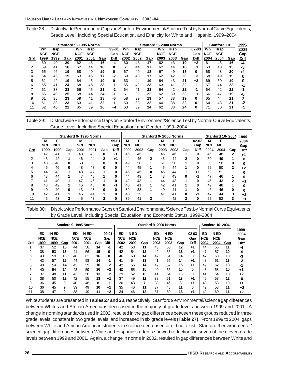Table 28: Districtwide Performance Gaps on Stanford Environmental/Science Test by Normal Curve Equivalents, Grade Level, Including Special Education, and Ethnicity for White and Hispanic, 1999–2004

|     |            |             |     |            | Stanford 9-1995 Norms |     |       |            |            |     |            | Stanford 9-2000 Norms |     |           |            | Stanford 10 |     | 1999- |
|-----|------------|-------------|-----|------------|-----------------------|-----|-------|------------|------------|-----|------------|-----------------------|-----|-----------|------------|-------------|-----|-------|
|     | Wh         | <b>Hisp</b> |     | Wh         | <b>Hisp</b>           |     | 99-01 | <b>Wh</b>  | Hisp       |     | Wh         | <b>Hisp</b>           |     | $02 - 03$ | Wh         | <b>Hisp</b> |     | 2004  |
|     | <b>NCE</b> | <b>NCE</b>  |     | <b>NCE</b> | <b>NCE</b>            |     | Gap   | <b>NCE</b> | <b>NCE</b> |     | <b>NCE</b> | <b>NCE</b>            |     | Gap       | <b>NCE</b> | <b>NCE</b>  |     | Gap   |
| Grd | 1999       | 1999        | Gap | 2001       | 2001                  | Gap | Diff  | 2002       | 2002       | Gap | 2003       | 2003                  | Gap | Diff      | 2004       | 2004        | Gap | Diff  |
|     | 60         | 40          | 20  | 62         | 46                    | 16  | $-4$  | 60         | 43         | 17  | 62         | 43                    | 19  | $+2$      | 61         | 45          | 16  | -4    |
| 2   | 59         | 41          | 18  | 62         | 44                    | 18  | 0     | 61         | 44         | 17  | 62         | 44                    | 18  | +1        | 63         | 48          | 15  | -3    |
|     | 65         | 46          | 19  | 68         | 49                    | 19  | 0     | 67         | 49         | 18  | 67         | 49                    | 18  | $\bf{0}$  | 68         | 48          | 20  | $+1$  |
|     | 64         | 45          | 19  | 63         | 46                    | 17  | -2    | 60         | 43         | 17  | 62         | 42                    | 20  | $+3$      | 68         | 49          | 19  | 0     |
| 5   | 61         | 42          | 19  | 64         | 45                    | 19  | 0     | 63         | 44         | 19  | 64         | 43                    | 21  | $+2$      | 69         | 50          | 19  | 0     |
| 6   | 65         | 41          | 24  | 68         | 45                    | 23  | -1    | 65         | 42         | 23  | 63         | 41                    | 22  | -1        | 67         | 44          | 23  | -1    |
|     | 61         | 38          | 23  | 66         | 45                    | 21  | -2    | 64         | 41         | 23  | 64         | 42                    | 22  | -1        | 64         | 42          | 22  | -1    |
| 8   | 65         | 40          | 25  | 68         | 44                    | 24  | $-1$  | 61         | 39         | 22  | 62         | 39                    | 23  | $+1$      | 66         | 47          | 19  | -6    |
| 9   | 61         | 38          | 23  | 59         | 41                    | 18  | -5    | 58         | 39         | 19  | 57         | 38                    | 19  | 0         | 65         | 44          | 21  | -2    |
| 10  | 61         | 38          | 23  | 63         | 41                    | 22  | -1    | 60         | 38         | 22  | 60         | 38                    | 22  | 0         | 64         | 43          | 21  | -2    |
|     | 62         | 40          | 22  | 65         | 39                    | 26  | +4    | 63         | 39         | 24  | 62         | 38                    | 24  | 0         | 71         | 50          | 21  | -1    |

Table 29: Districtwide Performance Gaps on Stanford Environment/Science Test by Normal Curve Equivalents, Grade Level, Including Special Education, and Gender, 1999–2004

|     |            |            |     |            | Stanford 9-1995 Norms |              |              |            |            |              |            | Stanford 9-2000 Norms |     |              |            | <b>Stanford 10-2004</b> |     | 1999-       |
|-----|------------|------------|-----|------------|-----------------------|--------------|--------------|------------|------------|--------------|------------|-----------------------|-----|--------------|------------|-------------------------|-----|-------------|
|     | M          | F          |     | м          | F                     |              | 99-01        | M          |            |              | м          | F                     |     | $02 - 03$    | м          |                         |     | 2004        |
|     | <b>NCE</b> | <b>NCE</b> |     | <b>NCE</b> | <b>NCE</b>            |              | Gap          | <b>NCE</b> | <b>NCE</b> |              | <b>NCE</b> | <b>NCE</b>            |     | Gap          | <b>NCE</b> | <b>NCE</b>              |     | Gap         |
| Grd | 1999       | 1999       | Gap | 2001       | 2001                  | Gap          | Diff         | 2002       | 2002       | Gap          | 2003       | 2003                  | Gap | <b>Diff</b>  | 2004       | 2004                    | Gap | <b>Diff</b> |
|     | 42         | 41         |     | 48         | 48                    | 0            | $-1$         | 46         | 45         |              | 45         | 46                    |     | $\mathbf{0}$ | 46         | 48                      |     | $+1$        |
| 2   | 43         | 42         |     | 46         | 44                    | $\mathbf{2}$ | $+1$         | 44         | 46         | $\mathbf{2}$ | 46         | 44                    | 2   | 0            | 50         | 49                      |     |             |
|     | 48         | 48         | 0   | 50         | 50                    | 0            | 0            | 49         | 50         |              | 51         | 50                    |     | 0            | 50         | 50                      | 0   |             |
|     | 46         | 46         | 0   | 48         | 48                    | 0            | $\mathbf{0}$ | 44         | 45         |              | 45         | 44                    |     | 0            | 52         | 50                      | 2   | $+2$        |
| 5   | 44         | 43         |     | 48         | 47                    |              | 0            | 45         | 45         | 0            | 45         | 44                    |     | +1           | 52         | 51                      |     |             |
| 6   | 43         | 44         |     | 47         | 48                    |              | 0            | 44         | 43         |              | 43         | 43                    | 0   | -1           | 47         | 46                      |     |             |
|     | 41         | 40         |     | 47         | 46                    |              | 0            | 42         | 43         |              | 44         | 43                    |     | 0            | 45         | 43                      | 2   | $+1$        |
| 8   | 43         | 42         |     | 46         | 46                    | 0            | -1           | 40         | 41         |              | 42         | 41                    |     | 0            | 49         | 48                      |     |             |
| 9   | 40         | 40         | 0   | 43         | 43                    | 0            | 0            | 39         | 38         |              | 40         | 41                    |     | 0            | 46         | 46                      | 0   |             |
| 10  | 42         | 41         |     | 45         | 44                    |              | 0            | 40         | 39         |              | 41         | 41                    | 0   | -1           | 47         | 44                      | 3   | +2          |
| 11  | 45         | 43         | 2   | 45         | 43                    | 2            | 0            | 39         | 41         | 2            | 44         | 42                    | 2   | 0            | 55         | 52                      |     | +1          |
|     |            |            |     |            |                       |              |              |            |            |              |            |                       |     |              |            |                         |     |             |

Table 30: Districtwide Performance Gaps on Stanford Environmental/Science Test by Normal Curve Equivalents, by Grade Level, Including Special Education, and Economic Status, 1999-2004

|     |                          |                            |     |                          | Stanford 9-1995 Norms      |     |                      |                          |                            |     |                          | Stanford 9-2000 Norms      |     |                          |                          | Stanford 10-2004           |     |                                     |
|-----|--------------------------|----------------------------|-----|--------------------------|----------------------------|-----|----------------------|--------------------------|----------------------------|-----|--------------------------|----------------------------|-----|--------------------------|--------------------------|----------------------------|-----|-------------------------------------|
| Grd | ED<br><b>NCE</b><br>1999 | N-ED<br><b>NCE</b><br>1999 | Gap | ED<br><b>NCE</b><br>2001 | N-ED<br><b>NCE</b><br>2001 | Gap | 99-01<br>Gap<br>Diff | ED<br><b>NCE</b><br>2002 | N-ED<br><b>NCE</b><br>2002 | Gap | ED<br><b>NCE</b><br>2003 | N-ED<br><b>NCE</b><br>2003 | Gap | $02 - 03$<br>Gap<br>Diff | ED<br><b>NCE</b><br>2004 | N-ED<br><b>NCE</b><br>2004 | Gap | 1999-<br>2004<br>Gap<br><b>Diff</b> |
|     | 37                       | 52                         | 15  | 44                       | 58                         | 14  | -1                   | 42                       | 53                         | 11  | 43                       | 55                         | 12  | $+1$                     | 44                       | 55                         | 11  | -4                                  |
|     | 38                       | 53                         | 15  | 41                       | 56                         | 15  | 0                    | 42                       | 54                         | 12  | 42                       | 55                         | 13  | +1                       | 47                       | 57                         | 10  | -5                                  |
|     | 43                       | 59                         | 16  | 46                       | 62                         | 16  | 0                    | 46                       | 60                         | 14  | 47                       | 61                         | 14  | 0                        | 47                       | 60                         | 13  | -3                                  |
| 4   | 42                       | 57                         | 15  | 44                       | 58                         | 14  | -1                   | 41                       | 54                         | 13  | 41                       | 55                         | 14  | $+1$                     | 48                       | 61                         | 13  | -2                                  |
| 5   | 40                       | 54                         | 14  | 43                       | 59                         | 16  | $+2$                 | 42                       | 56                         | 14  | 42                       | 57                         | 15  | +1                       | 49                       | 62                         | 13  | -1                                  |
| 6   | 40                       | 54                         | 14  | 43                       | 59                         | 16  | $+2$                 | 40                       | 55                         | 15  | 40                       | 55                         | 15  | 0                        | 43                       | 58                         | 15  | +1                                  |
|     | 37                       | 48                         | 11  | 43                       | 56                         | 13  | $+2$                 | 39                       | 52                         | 13  | 41                       | 54                         | 13  | 0                        | 41                       | 54                         | 13  | $+2$                                |
| 8   | 38                       | 50                         | 12  | 42                       | 55                         | 13  | +1                   | 37                       | 49                         | 12  | 38                       | 51                         | 13  | $+1$                     | 46                       | 58                         | 12  | 0                                   |
| 9   | 36                       | 45                         | 9   | 40                       | 48                         | 8   | -1                   | 36                       | 43                         | 7   | 38                       | 46                         | 8   | +1                       | 43                       | 53                         | 10  | $+1$                                |
| 10  | 36                       | 45                         | 9   | 39                       | 49                         | 10  | +1                   | 35                       | 46                         | 11  | 37                       | 48                         | 11  | 0                        | 42                       | 53                         | 11  | +2                                  |
| 11  | 38                       | 47                         | 9   | 38                       | 49                         | 11  | $+2$                 | 34                       | 46                         | 12  | 37                       | 50                         | 13  | $+1$                     | 49                       | 60                         | 11  | $+2$                                |

White students are presented in **Tables 27 and 28**, respectively. Stanford 9 environmental/science gap differences between Whites and African Americans decreased in the majority of grade levels between 1999 and 2001. A change in norming standards used in 2002, resulted in the gap differences between these groups reduced in three grade levels, constant in two grade levels, and increased in six grade levels **(Table 27)**. From 1999 to 2004, gaps between White and African American students in science decreased or did not exist. Stanford 9 environmental/ science gap differences between White and Hispanic students showed reductions in seven of the eleven grade levels between 1999 and 2001. Again, a change in norms in 2002, resulted in gap differences between White and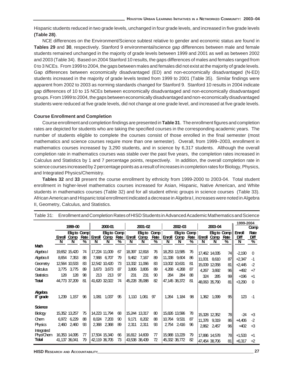Hispanic students reduced in two grade levels, unchanged in four grade levels, and increased in five grade levels **(Table 28)**.

NCE differences on the Environment/Science subtest relative to gender and economic status are found in **Tables 29** and **30**, respectively. Stanford 9 environmental/science gap differences between male and female students remained unchanged in the majority of grade levels between 1999 and 2001 as well as between 2002 and 2003 (Table 34). Based on 2004 Stanford 10 results, the gaps differences of males and females ranged from 0 to 3 NCEs. From 1999 to 2004, the gaps between males and females did not exist at the majority of grade levels. Gap differences between economically disadvantaged (ED) and non-economically disadvantaged (N-ED) students increased in the majority of grade levels tested from 1999 to 2001 (Table 35). Similar findings were apparent from 2002 to 2003 as norming standards changed for Stanford 9. Stanford 10 results in 2004 indicate gap differences of 10 to 15 NCEs between economically disadvantaged and non-economically disadvantaged groups. From 1999 to 2004, the gaps between economically disadvantaged and non-economically disadvantaged students were reduced at five grade levels, did not change at one grade level, and increased at five grade levels.

### **Course Enrollment and Completion**

Course enrollment and completion findings are presented in **Table 31**. The enrollment figures and completion rates are depicted for students who are taking the specified courses in the corresponding academic years. The number of students eligible to complete the courses consist of those enrolled in the final semester (most mathematics and science courses require more than one semester). Overall, from 1999–2003, enrollment in mathematics courses increased by 3,290 students, and in science by 6,317 students. Although the overall completion rate in mathematics courses was stable over the past five years, the completion rates increased in Calculus and Statistics by 1 and 7 percentage points, respectively. In addition, the overall completion rate in science courses increased by 2 percentage points as a result of increases in completion rates for Biology, Physics, and Integrated Physics/Chemistry.

**Tables 32** and **33** present the course enrollment by ethnicity from 1999-2000 to 2003-04. Total student enrollment in higher-level mathematics courses increased for Asian, Hispanic, Native American, and White students in mathematics courses (Table 32) and for all student ethnic groups in science courses (Table 33). African American and Hispanic total enrollment indicated a decrease in Algebra I, increases were noted in Algebra II, Geometry, Calculus, and Statistics.

|                                  |       | 1999-00                                  |          |        | 2000-01                        |          |        | 2001-02                        |                 |               | 2002-03                        |          |        | 2003-04                        |                     | 1999-2004             | Comp            |
|----------------------------------|-------|------------------------------------------|----------|--------|--------------------------------|----------|--------|--------------------------------|-----------------|---------------|--------------------------------|----------|--------|--------------------------------|---------------------|-----------------------|-----------------|
|                                  |       | <b>Eligto Comp</b><br><b>Enroll Comp</b> | Rate     | Enroll | <b>Eligto Comp</b><br>Comp     | Rate     | Enroll | <b>Eligto</b><br>Comp          | Comp<br>Rate    | <b>Enroll</b> | <b>Eligto Comp</b><br>Comp     | Rate     | Enroll | Comp                           | Eligto Comp<br>Rate | <b>Enroll</b><br>Diff | Rate<br>Diff    |
| Math                             | N     | N                                        | %        | N      | N                              | %        | N      | N                              | $\overline{\%}$ | N             | N                              | %        | N      | N                              | $\overline{\%}$     | N                     | $\overline{\%}$ |
| Algebral                         |       | 19,652 15,420                            | 74       |        | 17,224 11,009                  | 67       | 18,397 | 12,818                         | 76              |               | 18,253 13,585                  | 76       |        | 17,462 14,035                  | 74II                | $-2,190$              | $\Omega$        |
| Algebra II                       | 8,654 | 7,353                                    | 88       | 7,968  | 6,707                          | 79       | 9,462  | 7,167                          | 89              |               | 11,338 9,604                   | 86       | 11,001 | 8,610                          | 87                  | $+2,347$              | -1              |
| Geometry                         |       | 12,564 10,533                            | 83       |        | 12,542 10,420                  | 73       | 13,332 | 11,066                         | 83              |               | 13,002 10,631                  | 81       |        | 15,009 12,058                  | 81 l                | $+2,445$              | $-2$            |
| Calculus                         | 3,775 | 3.775                                    | 89       | 3,673  | 3,673                          | 87       | 3,806  | 3,806                          | 89              | 4,268         | 4,268                          | 87       | 4.267  | 3,692                          | 96                  | $+492$                | +7              |
| <b>Statistics</b>                | 128   | 128                                      | 98       | 213    | 213                            | 97       | 231    | 231                            | 90              | 284           | 284                            | 88       | 324    | 285                            | 991                 | $+196$                | $+1$            |
| Total                            |       | 44,773 37,209                            | 81       |        | 41,620 32,022                  | 74       | 45,228 | 35,088                         | 82              |               | 47,145 38,372                  | 81       |        | 48,063 35,790                  | 81 l                | $+3,290$              | $\Omega$        |
| Algebra<br>8 <sup>th</sup> grade | 1,239 | 1,157                                    | 96       | 1,081  | 1,037                          | 95       | 1,110  | 1,061                          | 97              | 1,264         | 1,184                          | 98       | 1,362  | 1,099                          | 95                  | 123                   | -1              |
| Science                          |       |                                          |          |        |                                |          |        |                                |                 |               |                                |          |        |                                |                     |                       |                 |
| Biology                          |       | 15,352 13,257                            | 75       |        | 14,223 11,794                  | 68       | 15,244 | 13,317                         | 80              |               | 15,826 13,596                  | 78       |        | 15,328 12,352                  | 781                 | -24                   | +3              |
| <b>Chem</b>                      | 6,972 | 6,229                                    | 88       | 8,024  | 7,203                          | 90       | 9,171  | 8,202                          | 88              | 10,764        | 9,531                          | 87       |        | 11,378 9,319                   | 86                  | $+4,406$              | -2              |
| Physics                          | 2,460 | 2,460                                    | 93       | 2,368  | 2,368                          | 89       | 2,311  | 2,311                          | 93              | 2.754         | 2,416                          | 96       | 2,862  | 2,457                          | 96                  | $+402$                | +3              |
| Integrated<br>Phys/Chem<br>Total |       | 16,353 14,095<br>41,137 36,041           | 77<br>79 |        | 17,504 15,340<br>42,119 36,705 | 66<br>73 |        | 16,812 14,609<br>43,538 38,439 | 77<br>72        |               | 15,988 13,229<br>45,332 38,772 | 79<br>82 |        | 17,886 14,578<br>47,454 38,706 | 78I<br>81 I         | $+1,533$<br>$+6,317$  | +1<br>$+2$      |

Table 31: Enrollment and Completion Rates of HISD Students in Advanced Academic Mathematics and Science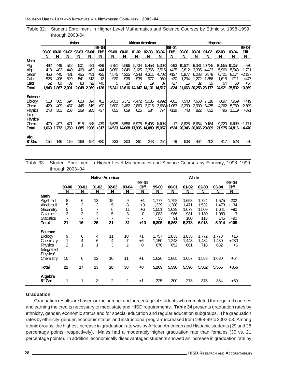Table 32: Student Enrollment in Higher Level Mathematics and Science Courses by Ethnicity, 1998-1999 through 2003-04

|              |            |            |            | Asian      |            |              |              |              |               | African American            |              |                 |                      |                |                | <b>Hispanic</b> |               |                  |
|--------------|------------|------------|------------|------------|------------|--------------|--------------|--------------|---------------|-----------------------------|--------------|-----------------|----------------------|----------------|----------------|-----------------|---------------|------------------|
|              |            |            |            |            |            | 99-04        |              |              |               |                             |              | 99-04           |                      |                |                |                 |               | 99-04            |
|              | 99-00      | 00-01      | 01-02      | $02-03$    | 03-04      | Diff         | 99-00        | 00-01        | 01-02         | 02-03                       | 03-04        | Diff            | 99-00                | $00-01$        | 01-02          | 02-03           | 03-04         | Diff             |
|              | N          | N          | N          | N          | N          | N            | N            | N            | N             | N                           | N            | N               | N                    | N              | N              | N               | N             | N                |
| Math         |            |            |            |            |            |              |              |              |               |                             |              |                 |                      |                |                |                 |               |                  |
| Algl         | 492        | 449        | 512        | 501        | 521        | $+29$        | 6,751        | 5,596        | 5,734         | 5,458                       | 5,303        | -2931           | 10,624               | 9,381          | 10,485         | 10,555          | 10,054        | -570             |
| AlgII        | 418        | 402        | 440        | 469        | 462        | +44          | 3,080        | 2,849        | 3,125         | 3,366                       | 3,515        | +435            | 3,812                | 3,335          | 4,423          | 5,966           | 5,543         | $+1,731$         |
| Geom<br>Calc | 456<br>525 | 440<br>496 | 431<br>529 | 455<br>541 | 481<br>513 | +25<br>$-12$ | 4,575<br>930 | 4.225<br>936 | 4,343<br>938  | 4,311<br>977                | 4,702<br>960 | +127<br>+30     | 5,977<br>1,234       | 6.233<br>1,272 | 6,878<br>1,356 | 6.721<br>1,615  | 8.174<br>1711 | $+2,197$<br>+477 |
| <b>Stats</b> | 52         | 80         | 89         | 83         | 92         | +40          | 5            | 10           |               | 19                          | 37           | $+27$           | 16                   | 32             | 35             | 64              | 50            | $+34$            |
| Total        | 1.943      | 1.867      | 2001       | 2049       | 2,069      | +126         | 15,341       |              | 13,616 14,147 | 14,131                      | 14,517       | $-824$          | 21,663               | 20,253 23,177  |                | 24,921          | 25,532        | $+3,869$         |
|              |            |            |            |            |            |              |              |              |               |                             |              |                 |                      |                |                |                 |               |                  |
| Science      |            |            |            |            |            |              |              |              |               |                             |              |                 |                      |                |                |                 |               |                  |
| Biology      | 513        | 565        | 594        | 623        | 594        | +81          | 5,653        | 5,371        | 4,472         | 5,085                       | 4,992        | $-661$          | 7,540                | 7,650          | 7.318          | 7.697           | 7,959         | +419             |
| Chem         | 429        | 409        | 437        | 445        | 519        | $+90$        | 2,600        | 2,482        | 2.860         | 3.015                       |              | $3,683 + 1,083$ | 3.230                | 2,930          | 3.475          | 4,262           | 5,739         | +2,509           |
| Physics      | 248        | 301        | 258        | 269        | 285        | +37          | 655          | 659          | 625           | 584                         | 774          | $+119$          | 748                  | 822            | 832            | 796             | 1,119         | +371             |
| Integ        |            |            |            |            |            |              |              |              |               |                             |              |                 |                      |                |                |                 |               |                  |
| Physics/     |            |            |            |            |            |              |              |              |               |                             |              |                 |                      |                |                |                 |               |                  |
| Chem         | 479        | 497        | 471        | 518        | 588        | -479         | 5,625        | 5,556        | 5,978         | 5,405                       | 5,608        | -171            | 8,828                |                | 8,664 9,184    |                 | 9,220 9,999   | $+1,171$         |
| Total        | 1.669      | 1.772      | 1.760      | 1,885      | 1986       | $+317$       |              |              |               | 14,533 14,068 13,935 14,089 | 15,057       | +5241           | 20,346 20,066 20,809 |                |                |                 | 21,975 24,816 | +4,470           |
|              |            |            |            |            |            |              |              |              |               |                             |              |                 |                      |                |                |                 |               |                  |
| Alg          |            |            |            |            |            |              |              |              |               |                             |              |                 |                      |                |                |                 |               |                  |
| $8th$ Grd    | 154        | 146        | 116        | 169        | 194        | +20          | 333          | 303          | 261           | 243                         | 254          | -79             | 608                  | 464            | 402            | 417             | 528           | -80              |

Table 33: Student Enrollment in Higher Level Mathematics and Science Courses by Ethnicity, 1998–1999 through 2003–04

|                                |                |                         |                 | <b>Native American</b> |                |             |       |       | White   |           |       |             |
|--------------------------------|----------------|-------------------------|-----------------|------------------------|----------------|-------------|-------|-------|---------|-----------|-------|-------------|
|                                |                |                         |                 |                        |                | 99-04       |       |       |         |           |       | 99-04       |
|                                | 99-00          | $00 - 01$               | $01 - 02$       | $02 - 03$              | 03-04          | <b>Diff</b> | 99-00 | 00-01 | $01-02$ | $02 - 03$ | 03-04 | <b>Diff</b> |
|                                | N              | N                       | N               | N                      | N              | N           | N     | N     | N       | N         | N     | N           |
| <b>Math</b>                    |                |                         |                 |                        |                |             |       |       |         |           |       |             |
| Algebra I                      | 8              | 6                       | 13              | 15                     | 9              | $+1$        | 1.777 | 1,792 | 1,653   | 1,724     | 1,575 | $-202$      |
| Algebra II                     | 5              | $\overline{2}$          | 3               | 5                      | 8              | +3          | 1.339 | 1,380 | 1,471   | 1,532     | 1,473 | +134        |
| Geometry                       | 5              | 5                       | $\overline{7}$  | 6                      | 11             | +6          | 1.551 | 1,639 | 1,673   | 1.509     | 1,641 | $+90$       |
| Calculus                       | 3              | 3                       | $\overline{2}$  | 5                      | 3              | 0           | 1,083 | 966   | 981     | 1,130     | 1,080 | -3          |
| <b>Statistics</b>              |                |                         |                 |                        |                |             | 55    | 91    | 100     | 118       | 145   | $+90$       |
| <b>Total</b>                   | 21             | 16                      | 25              | 31                     | 31             | $+10$       | 5,805 | 5,868 | 5,878   | 6,013     | 5,914 | +109        |
| <b>Science</b>                 |                |                         |                 |                        |                |             |       |       |         |           |       |             |
|                                |                |                         |                 | 11                     | 10             | $+1$        | 1.757 |       |         |           |       | $+16$       |
| <b>Biology</b>                 | 9              | 6                       | 4               |                        |                |             |       | 1,833 | 1,835   | 1.772     | 1.773 |             |
| Chemistry                      | 1              | $\overline{\mathbf{4}}$ | $6\phantom{1}6$ | 4<br>3                 | 7              | $+6$        | 1.150 | 1,248 | 1,443   | 1,484     | 1,430 | $+280$      |
| Physics                        | $\overline{2}$ | 1                       | 1               |                        | $\overline{2}$ | 0           | 676   | 652   | 661     | 718       | 682   | +6          |
| Integrated                     |                |                         |                 |                        |                |             |       |       |         |           |       |             |
| Physics/                       |                |                         |                 |                        |                |             |       |       |         |           |       |             |
| Chemistry                      | 10             | 6                       | 12              | 10                     | 11             | $+1$        | 1,626 | 1,865 | 1,657   | 1,588     | 1,680 | $+54$       |
| <b>Total</b>                   | 22             | 17                      | 23              | 28                     | 30             | $+8$        | 5,209 | 5,598 | 5,596   | 5,562     | 5,565 | +356        |
|                                |                |                         |                 |                        |                |             |       |       |         |           |       |             |
| Algebra<br>8 <sup>th</sup> Grd | 1              | 1                       | 3               | 2                      | $\mathcal{P}$  | +1          | 325   | 300   | 278     | 375       | 384   | $+59$       |

### **Graduation**

Graduation results are based on the number and percentage of students who completed the required courses and earning the credits necessary to meet state and HISD requirements. **Table 34** presents graduation rates by ethnicity, gender, economic status and for special education and regular education subgroups. The graduation rates by ethnicity, gender, economic status, and instructional program increased from 1998-99 to 2002-03. Among ethnic groups, the highest increase in graduation rate was by African American and Hispanic students (29 and 28 percentage points, respectively). Males had a moderately higher graduation rate than females (30 vs. 21 percentage points). In addition, economically disadvantaged students showed an increase in graduation rate by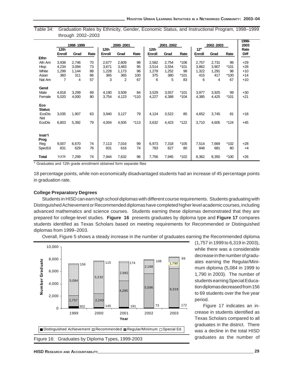|               | 12 <sub>th</sub> | 1998-1999 |      | 12th   | 2000-2001 |        | 12th   | 2001-2002 |        | 12 <sup>th</sup> | 2002-2003 |        | 1998-<br>2003<br>Rate |
|---------------|------------------|-----------|------|--------|-----------|--------|--------|-----------|--------|------------------|-----------|--------|-----------------------|
|               | Enroll           | Grad      | Rate | Enroll | Grad      | Rate   | Enroll | Grad      | Rate   | Enroll           | Grad      | Rate   | Diff                  |
| <b>Ethn</b>   |                  |           |      |        |           |        |        |           |        |                  |           |        |                       |
| Afri Am       | 3,938            | 2,746     | 70   | 2,677  | 2,609     | 98     | 2,582  | 2,754     | *106   | 2,757            | 2,731     | 99     | +29                   |
| Hisp          | 4,234            | 3,094     | 73   | 3,671  | 3,483     | 95     | 3,514  | 3,554     | *101   | 3,862            | 3,907     | *101   | +28                   |
| White         | 1,299            | 1,144     | 88   | 1,228  | 1,173     | 96     | 1,279  | 1,252     | 98     | 1,322            | 1,291     | 98     | $+10$                 |
| Asian         | 360              | 311       | 86   | 365    | 365       | 100    | 375    | 380       | $*101$ | 415              | 417       | $*100$ | $+14$                 |
| Nat Am        | 7                | 4         | 57   | 3      | 2         | 67     | 6      | 5         | 83     | 6                | 4         | 67     | $+10$                 |
| Gend          |                  |           |      |        |           |        |        |           |        |                  |           |        |                       |
| Male          | 4,818            | 3,299     | 69   | 4,190  | 3,509     | 84     | 3,529  | 3,557     | *101   | 3,977            | 3,925     | 99     | $+30$                 |
| Female        | 5,020            | 4,000     | 80   | 3,754  | 4,123     | $*110$ | 4,227  | 4,388     | $*104$ | 4,385            | 4,425     | $*101$ | $+21$                 |
|               |                  |           |      |        |           |        |        |           |        |                  |           |        |                       |
| Eco           |                  |           |      |        |           |        |        |           |        |                  |           |        |                       |
| <b>Status</b> |                  |           |      |        |           |        |        |           |        |                  |           |        |                       |
| EcoDis        | 3,035            | 1,907     | 63   | 3,940  | 3,127     | 79     | 4,124  | 3,522     | 85     | 4,652            | 3,745     | 81     | $+18$                 |
| Not<br>EcoDis | 6,803            | 5,392     | 79   | 4,004  | 4,505     | $*113$ | 3,632  | 4,423     | *122   | 3,710            | 4,605     | *124   | $+45$                 |
|               |                  |           |      |        |           |        |        |           |        |                  |           |        |                       |
|               |                  |           |      |        |           |        |        |           |        |                  |           |        |                       |
| Instr'l       |                  |           |      |        |           |        |        |           |        |                  |           |        |                       |
| Prog          |                  |           |      |        |           |        |        |           |        |                  |           |        |                       |
| Reg           | 9,007            | 6,670     | 74   | 7,113  | 7,016     | 99     | 6,973  | 7,318     | *105   | 7,514            | 7,669     | *102   | $+28$                 |
| SpecEd        | 831              | 629       | 76   | 831    | 616       | 74     | 783    | 627       | 80     | 848              | 681       | 80     | $+4$                  |
| Total         | 9,838            | 7,299     | 74   | 7,944  | 7,632     | 96     | 7,756  | 7,945     | *102   | 8,362            | 8,350     | $*100$ | +26                   |

Table 34: Graduation Rates by Ethnicity, Gender, Economic Status, and Instructional Program, 1998–1999 through 2002–2003

\* Graduates and 12th grade enrollment obtained form separate files

18 percentage points, while non-economically disadvantaged students had an increase of 45 percentage points in graduation rate.

#### **College Preparatory Degrees**

Students in HISD can earn high school diplomas with different course requirements. Students graduating with Distinguished Achievement or Recommended diplomas have completed higher level academic courses, including advanced mathematics and science courses. Students earning these diplomas demonstrated that they are prepared for college-level studies. **Figure 16** presents graduates by diploma type and **Figure 17** compares students identified as Texas Scholars based on meeting requirements for Recommended or Distinguished diplomas from 1999–2003.





(1,757 in 1999 to 6,319 in 2003), while there was a considerable decrease in the number of graduates earning the Regular/Minimum diploma (5,084 in 1999 to 1,790 in 2003). The number of students earning Special Education diplomas decreased from 156 to 69 students over the five year period.

Figure 17 indicates an increase in students identified as Texas Scholars compared to all graduates in the district. There was a decline in the total HISD graduates as the number of